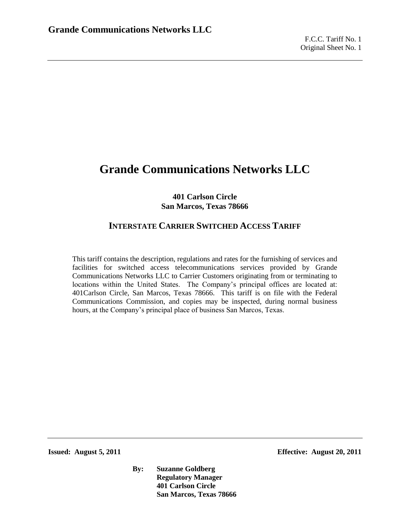### **401 Carlson Circle San Marcos, Texas 78666**

# **INTERSTATE CARRIER SWITCHED ACCESS TARIFF**

This tariff contains the description, regulations and rates for the furnishing of services and facilities for switched access telecommunications services provided by Grande Communications Networks LLC to Carrier Customers originating from or terminating to locations within the United States. The Company's principal offices are located at: 401Carlson Circle, San Marcos, Texas 78666. This tariff is on file with the Federal Communications Commission, and copies may be inspected, during normal business hours, at the Company's principal place of business San Marcos, Texas.

**Issued: August 5, 2011 Effective: August 20, 2011**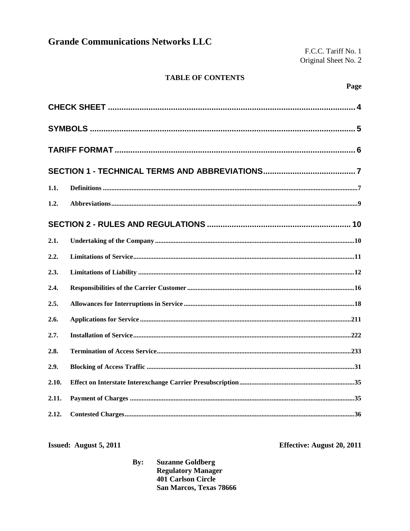F.C.C. Tariff No. 1 Original Sheet No. 2

### **TABLE OF CONTENTS**

| 1.1.  |  |
|-------|--|
| 1.2.  |  |
|       |  |
| 2.1.  |  |
| 2.2.  |  |
| 2.3.  |  |
| 2.4.  |  |
| 2.5.  |  |
| 2.6.  |  |
| 2.7.  |  |
| 2.8.  |  |
| 2.9.  |  |
| 2.10. |  |
| 2.11. |  |
| 2.12. |  |

Issued: August 5, 2011

Effective: August 20, 2011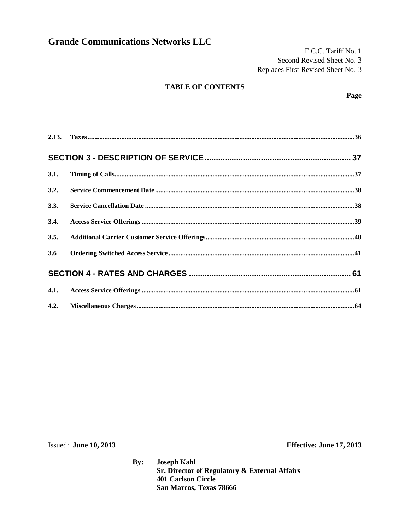F.C.C. Tariff No. 1 Second Revised Sheet No. 3 Replaces First Revised Sheet No. 3

### **TABLE OF CONTENTS**

| 3.1. |  |
|------|--|
| 3.2. |  |
| 3.3. |  |
| 3.4. |  |
| 3.5. |  |
| 3.6  |  |
|      |  |
|      |  |
| 4.2. |  |

Issued: June 10, 2013

Effective: June 17, 2013

**Joseph Kahl**  $By:$ Sr. Director of Regulatory & External Affairs **401 Carlson Circle** San Marcos, Texas 78666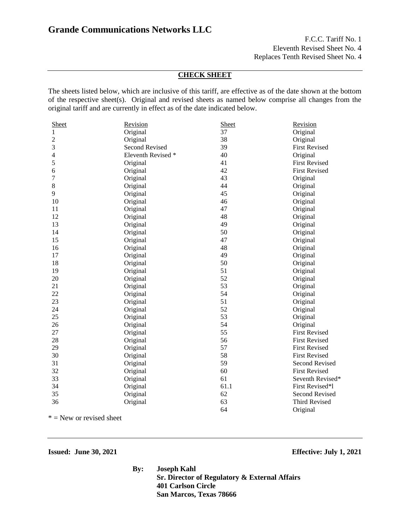F.C.C. Tariff No. 1 Eleventh Revised Sheet No. 4 Replaces Tenth Revised Sheet No. 4

### **CHECK SHEET**

The sheets listed below, which are inclusive of this tariff, are effective as of the date shown at the bottom of the respective sheet(s). Original and revised sheets as named below comprise all changes from the original tariff and are currently in effect as of the date indicated below.

| Sheet          | Revision              | Sheet | Revision              |
|----------------|-----------------------|-------|-----------------------|
| 1              | Original              | 37    | Original              |
| $\overline{c}$ | Original              | 38    | Original              |
| 3              | <b>Second Revised</b> | 39    | <b>First Revised</b>  |
| $\overline{4}$ | Eleventh Revised *    | 40    | Original              |
| 5              | Original              | 41    | <b>First Revised</b>  |
| 6              | Original              | 42    | <b>First Revised</b>  |
| 7              | Original              | 43    | Original              |
| 8              | Original              | 44    | Original              |
| 9              | Original              | 45    | Original              |
| 10             | Original              | 46    | Original              |
| 11             | Original              | 47    | Original              |
| 12             | Original              | 48    | Original              |
| 13             | Original              | 49    | Original              |
| 14             | Original              | 50    | Original              |
| 15             | Original              | 47    | Original              |
| 16             | Original              | 48    | Original              |
| 17             | Original              | 49    | Original              |
| 18             | Original              | 50    | Original              |
| 19             | Original              | 51    | Original              |
| 20             | Original              | 52    | Original              |
| 21             | Original              | 53    | Original              |
| 22             | Original              | 54    | Original              |
| 23             | Original              | 51    | Original              |
| 24             | Original              | 52    | Original              |
| 25             | Original              | 53    | Original              |
| 26             | Original              | 54    | Original              |
| 27             | Original              | 55    | <b>First Revised</b>  |
| 28             | Original              | 56    | <b>First Revised</b>  |
| 29             | Original              | 57    | <b>First Revised</b>  |
| 30             | Original              | 58    | <b>First Revised</b>  |
| 31             | Original              | 59    | <b>Second Revised</b> |
| 32             | Original              | 60    | <b>First Revised</b>  |
| 33             | Original              | 61    | Seventh Revised*      |
| 34             | Original              | 61.1  | First Revised*1       |
| 35             | Original              | 62    | <b>Second Revised</b> |
| 36             | Original              | 63    | <b>Third Revised</b>  |
|                |                       | 64    | Original              |

 $*$  = New or revised sheet

#### **Issued: June 30, 2021 Effective: July 1, 2021**

**By: Joseph Kahl Sr. Director of Regulatory & External Affairs 401 Carlson Circle San Marcos, Texas 78666**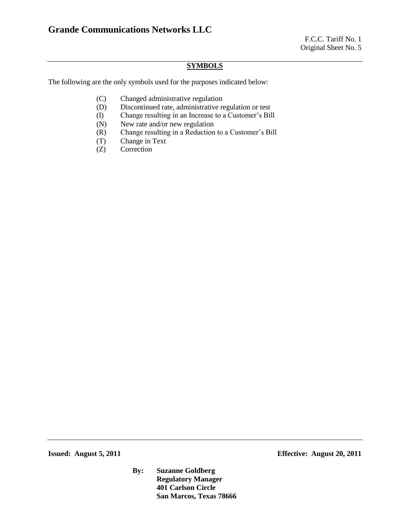#### **SYMBOLS**

The following are the only symbols used for the purposes indicated below:

- (C) Changed administrative regulation
- (D) Discontinued rate, administrative regulation or test
- (I) Change resulting in an Increase to a Customer's Bill
- (N) New rate and/or new regulation
- (R) Change resulting in a Reduction to a Customer's Bill
- (T) Change in Text
- (Z) Correction

**Issued: August 5, 2011 Effective: August 20, 2011**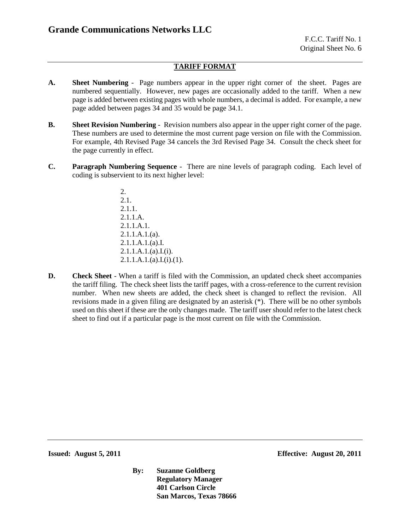### **TARIFF FORMAT**

- **A. Sheet Numbering** Page numbers appear in the upper right corner of the sheet. Pages are numbered sequentially. However, new pages are occasionally added to the tariff. When a new page is added between existing pages with whole numbers, a decimal is added. For example, a new page added between pages 34 and 35 would be page 34.1.
- **B. Sheet Revision Numbering** Revision numbers also appear in the upper right corner of the page. These numbers are used to determine the most current page version on file with the Commission. For example, 4th Revised Page 34 cancels the 3rd Revised Page 34. Consult the check sheet for the page currently in effect.
- **C. Paragraph Numbering Sequence** There are nine levels of paragraph coding. Each level of coding is subservient to its next higher level:
	- 2. 2.1. 2.1.1. 2.1.1.A. 2.1.1.A.1. 2.1.1.A.1.(a). 2.1.1.A.1.(a).I. 2.1.1.A.1.(a).I.(i).  $2.1.1.A.1.(a).I.(i).(1).$
- **D. Check Sheet** When a tariff is filed with the Commission, an updated check sheet accompanies the tariff filing. The check sheet lists the tariff pages, with a cross-reference to the current revision number. When new sheets are added, the check sheet is changed to reflect the revision. All revisions made in a given filing are designated by an asterisk (\*). There will be no other symbols used on this sheet if these are the only changes made. The tariff user should refer to the latest check sheet to find out if a particular page is the most current on file with the Commission.

**Issued: August 5, 2011 Effective: August 20, 2011**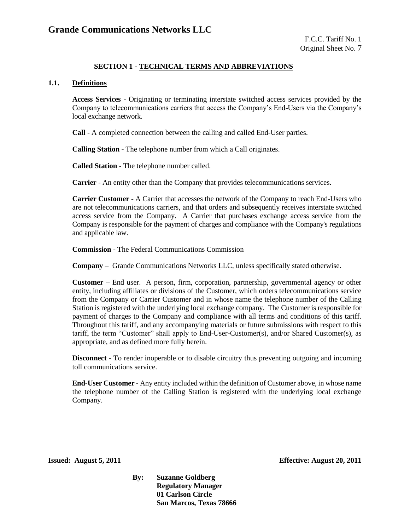### **SECTION 1 - TECHNICAL TERMS AND ABBREVIATIONS**

#### **1.1. Definitions**

**Access Services** - Originating or terminating interstate switched access services provided by the Company to telecommunications carriers that access the Company's End-Users via the Company's local exchange network.

**Call** - A completed connection between the calling and called End-User parties.

**Calling Station** - The telephone number from which a Call originates.

**Called Station** - The telephone number called.

**Carrier** - An entity other than the Company that provides telecommunications services.

**Carrier Customer** - A Carrier that accesses the network of the Company to reach End-Users who are not telecommunications carriers, and that orders and subsequently receives interstate switched access service from the Company. A Carrier that purchases exchange access service from the Company is responsible for the payment of charges and compliance with the Company's regulations and applicable law.

**Commission** - The Federal Communications Commission

**Company** – Grande Communications Networks LLC, unless specifically stated otherwise.

**Customer** – End user. A person, firm, corporation, partnership, governmental agency or other entity, including affiliates or divisions of the Customer, which orders telecommunications service from the Company or Carrier Customer and in whose name the telephone number of the Calling Station is registered with the underlying local exchange company. The Customer is responsible for payment of charges to the Company and compliance with all terms and conditions of this tariff. Throughout this tariff, and any accompanying materials or future submissions with respect to this tariff, the term "Customer" shall apply to End-User-Customer(s), and/or Shared Customer(s), as appropriate, and as defined more fully herein.

**Disconnect** - To render inoperable or to disable circuitry thus preventing outgoing and incoming toll communications service.

**End-User Customer -** Any entity included within the definition of Customer above, in whose name the telephone number of the Calling Station is registered with the underlying local exchange Company.

**Issued: August 5, 2011 Effective: August 20, 2011**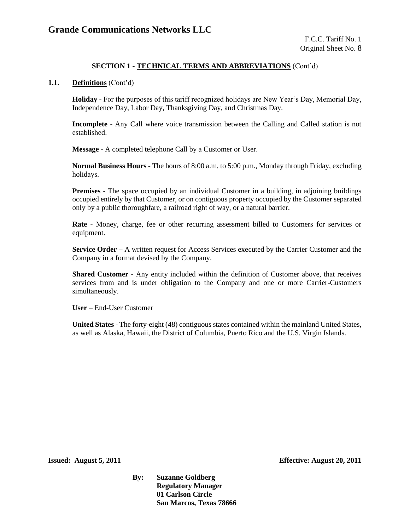### **SECTION 1 - TECHNICAL TERMS AND ABBREVIATIONS** (Cont'd)

#### **1.1. Definitions** (Cont'd)

**Holiday** - For the purposes of this tariff recognized holidays are New Year's Day, Memorial Day, Independence Day, Labor Day, Thanksgiving Day, and Christmas Day.

**Incomplete** - Any Call where voice transmission between the Calling and Called station is not established.

**Message** - A completed telephone Call by a Customer or User.

**Normal Business Hours** - The hours of 8:00 a.m. to 5:00 p.m., Monday through Friday, excluding holidays.

**Premises** - The space occupied by an individual Customer in a building, in adjoining buildings occupied entirely by that Customer, or on contiguous property occupied by the Customer separated only by a public thoroughfare, a railroad right of way, or a natural barrier.

**Rate** - Money, charge, fee or other recurring assessment billed to Customers for services or equipment.

**Service Order** – A written request for Access Services executed by the Carrier Customer and the Company in a format devised by the Company.

**Shared Customer -** Any entity included within the definition of Customer above, that receives services from and is under obligation to the Company and one or more Carrier-Customers simultaneously.

**User** – End-User Customer

**United States** - The forty-eight (48) contiguous states contained within the mainland United States, as well as Alaska, Hawaii, the District of Columbia, Puerto Rico and the U.S. Virgin Islands.

**Issued: August 5, 2011 Effective: August 20, 2011**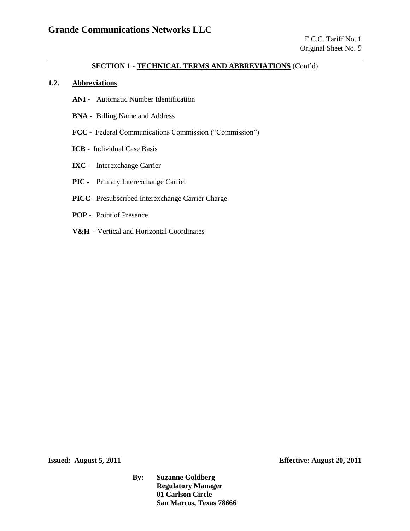### **SECTION 1 - TECHNICAL TERMS AND ABBREVIATIONS** (Cont'd)

### **1.2. Abbreviations**

- **ANI** Automatic Number Identification
- **BNA** Billing Name and Address
- **FCC** Federal Communications Commission ("Commission")
- **ICB** Individual Case Basis
- **IXC** Interexchange Carrier
- **PIC -** Primary Interexchange Carrier
- **PICC** Presubscribed Interexchange Carrier Charge
- **POP**  Point of Presence
- **V&H** Vertical and Horizontal Coordinates

**Issued: August 5, 2011 Effective: August 20, 2011**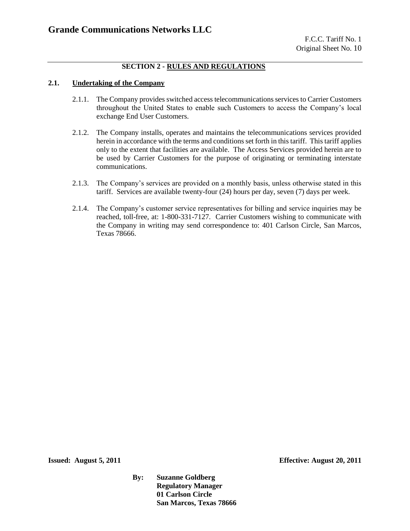### **SECTION 2 - RULES AND REGULATIONS**

### **2.1. Undertaking of the Company**

- 2.1.1. The Company provides switched access telecommunications services to Carrier Customers throughout the United States to enable such Customers to access the Company's local exchange End User Customers.
- 2.1.2. The Company installs, operates and maintains the telecommunications services provided herein in accordance with the terms and conditions set forth in this tariff. This tariff applies only to the extent that facilities are available. The Access Services provided herein are to be used by Carrier Customers for the purpose of originating or terminating interstate communications.
- 2.1.3. The Company's services are provided on a monthly basis, unless otherwise stated in this tariff. Services are available twenty-four (24) hours per day, seven (7) days per week.
- 2.1.4. The Company's customer service representatives for billing and service inquiries may be reached, toll-free, at: 1-800-331-7127. Carrier Customers wishing to communicate with the Company in writing may send correspondence to: 401 Carlson Circle, San Marcos, Texas 78666.

**Issued: August 5, 2011 Effective: August 20, 2011**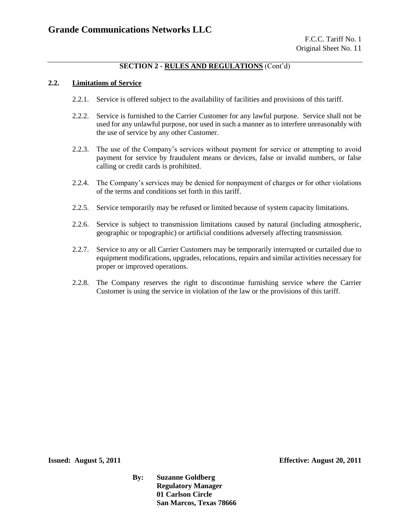#### **2.2. Limitations of Service**

- 2.2.1. Service is offered subject to the availability of facilities and provisions of this tariff.
- 2.2.2. Service is furnished to the Carrier Customer for any lawful purpose. Service shall not be used for any unlawful purpose, nor used in such a manner as to interfere unreasonably with the use of service by any other Customer.
- 2.2.3. The use of the Company's services without payment for service or attempting to avoid payment for service by fraudulent means or devices, false or invalid numbers, or false calling or credit cards is prohibited.
- 2.2.4. The Company's services may be denied for nonpayment of charges or for other violations of the terms and conditions set forth in this tariff.
- 2.2.5. Service temporarily may be refused or limited because of system capacity limitations.
- 2.2.6. Service is subject to transmission limitations caused by natural (including atmospheric, geographic or topographic) or artificial conditions adversely affecting transmission.
- 2.2.7. Service to any or all Carrier Customers may be temporarily interrupted or curtailed due to equipment modifications, upgrades, relocations, repairs and similar activities necessary for proper or improved operations.
- 2.2.8. The Company reserves the right to discontinue furnishing service where the Carrier Customer is using the service in violation of the law or the provisions of this tariff.

**Issued: August 5, 2011 Effective: August 20, 2011**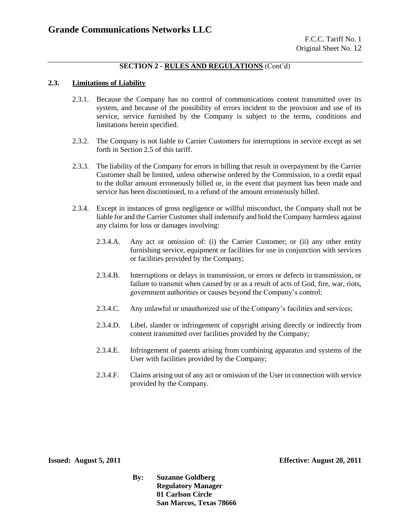#### **2.3. Limitations of Liability**

- 2.3.1. Because the Company has no control of communications content transmitted over its system, and because of the possibility of errors incident to the provision and use of its service, service furnished by the Company is subject to the terms, conditions and limitations herein specified.
- 2.3.2. The Company is not liable to Carrier Customers for interruptions in service except as set forth in Section 2.5 of this tariff.
- 2.3.3. The liability of the Company for errors in billing that result in overpayment by the Carrier Customer shall be limited, unless otherwise ordered by the Commission, to a credit equal to the dollar amount erroneously billed or, in the event that payment has been made and service has been discontinued, to a refund of the amount erroneously billed.
- 2.3.4. Except in instances of gross negligence or willful misconduct, the Company shall not be liable for and the Carrier Customer shall indemnify and hold the Company harmless against any claims for loss or damages involving:
	- 2.3.4.A. Any act or omission of: (i) the Carrier Customer; or (ii) any other entity furnishing service, equipment or facilities for use in conjunction with services or facilities provided by the Company;
	- 2.3.4.B. Interruptions or delays in transmission, or errors or defects in transmission, or failure to transmit when caused by or as a result of acts of God, fire, war, riots, government authorities or causes beyond the Company's control;
	- 2.3.4.C. Any unlawful or unauthorized use of the Company's facilities and services;
	- 2.3.4.D. Libel, slander or infringement of copyright arising directly or indirectly from content transmitted over facilities provided by the Company;
	- 2.3.4.E. Infringement of patents arising from combining apparatus and systems of the User with facilities provided by the Company;
	- 2.3.4.F. Claims arising out of any act or omission of the User in connection with service provided by the Company.

**Issued: August 5, 2011 Effective: August 20, 2011**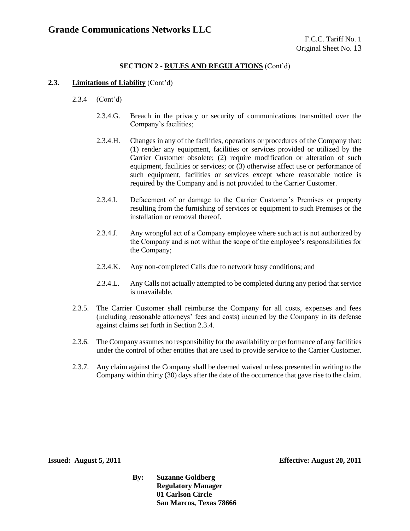### **2.3. Limitations of Liability** (Cont'd)

- 2.3.4 (Cont'd)
	- 2.3.4.G. Breach in the privacy or security of communications transmitted over the Company's facilities;
	- 2.3.4.H. Changes in any of the facilities, operations or procedures of the Company that: (1) render any equipment, facilities or services provided or utilized by the Carrier Customer obsolete; (2) require modification or alteration of such equipment, facilities or services; or (3) otherwise affect use or performance of such equipment, facilities or services except where reasonable notice is required by the Company and is not provided to the Carrier Customer.
	- 2.3.4.I. Defacement of or damage to the Carrier Customer's Premises or property resulting from the furnishing of services or equipment to such Premises or the installation or removal thereof.
	- 2.3.4.J. Any wrongful act of a Company employee where such act is not authorized by the Company and is not within the scope of the employee's responsibilities for the Company;
	- 2.3.4.K. Any non-completed Calls due to network busy conditions; and
	- 2.3.4.L. Any Calls not actually attempted to be completed during any period that service is unavailable.
- 2.3.5. The Carrier Customer shall reimburse the Company for all costs, expenses and fees (including reasonable attorneys' fees and costs) incurred by the Company in its defense against claims set forth in Section 2.3.4.
- 2.3.6. The Company assumes no responsibility for the availability or performance of any facilities under the control of other entities that are used to provide service to the Carrier Customer.
- 2.3.7. Any claim against the Company shall be deemed waived unless presented in writing to the Company within thirty (30) days after the date of the occurrence that gave rise to the claim.

**Issued: August 5, 2011 Effective: August 20, 2011**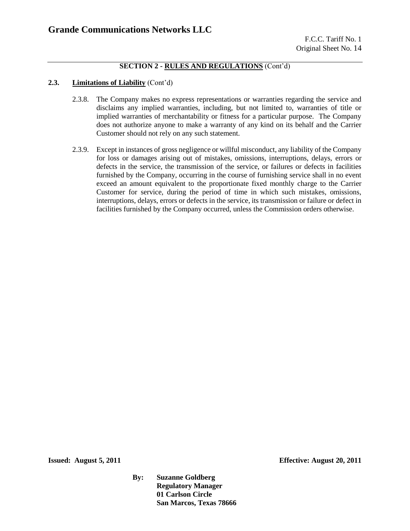### **2.3. Limitations of Liability** (Cont'd)

- 2.3.8. The Company makes no express representations or warranties regarding the service and disclaims any implied warranties, including, but not limited to, warranties of title or implied warranties of merchantability or fitness for a particular purpose. The Company does not authorize anyone to make a warranty of any kind on its behalf and the Carrier Customer should not rely on any such statement.
- 2.3.9. Except in instances of gross negligence or willful misconduct, any liability of the Company for loss or damages arising out of mistakes, omissions, interruptions, delays, errors or defects in the service, the transmission of the service, or failures or defects in facilities furnished by the Company, occurring in the course of furnishing service shall in no event exceed an amount equivalent to the proportionate fixed monthly charge to the Carrier Customer for service, during the period of time in which such mistakes, omissions, interruptions, delays, errors or defects in the service, its transmission or failure or defect in facilities furnished by the Company occurred, unless the Commission orders otherwise.

**Issued: August 5, 2011 Effective: August 20, 2011**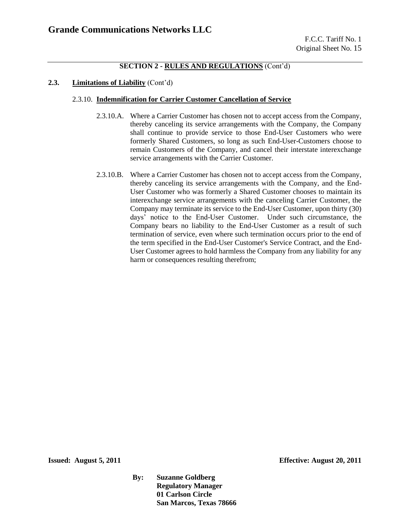#### **2.3. Limitations of Liability** (Cont'd)

#### 2.3.10. **Indemnification for Carrier Customer Cancellation of Service**

- 2.3.10.A. Where a Carrier Customer has chosen not to accept access from the Company, thereby canceling its service arrangements with the Company, the Company shall continue to provide service to those End-User Customers who were formerly Shared Customers, so long as such End-User-Customers choose to remain Customers of the Company, and cancel their interstate interexchange service arrangements with the Carrier Customer.
- 2.3.10.B. Where a Carrier Customer has chosen not to accept access from the Company, thereby canceling its service arrangements with the Company, and the End-User Customer who was formerly a Shared Customer chooses to maintain its interexchange service arrangements with the canceling Carrier Customer, the Company may terminate its service to the End-User Customer, upon thirty (30) days' notice to the End-User Customer. Under such circumstance, the Company bears no liability to the End-User Customer as a result of such termination of service, even where such termination occurs prior to the end of the term specified in the End-User Customer's Service Contract, and the End-User Customer agrees to hold harmless the Company from any liability for any harm or consequences resulting therefrom;

**Issued: August 5, 2011 Effective: August 20, 2011**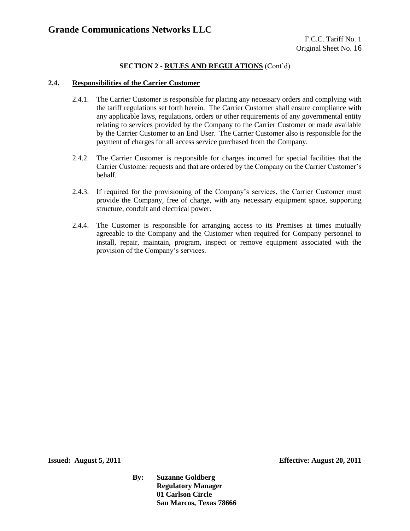#### **2.4. Responsibilities of the Carrier Customer**

- 2.4.1. The Carrier Customer is responsible for placing any necessary orders and complying with the tariff regulations set forth herein. The Carrier Customer shall ensure compliance with any applicable laws, regulations, orders or other requirements of any governmental entity relating to services provided by the Company to the Carrier Customer or made available by the Carrier Customer to an End User. The Carrier Customer also is responsible for the payment of charges for all access service purchased from the Company.
- 2.4.2. The Carrier Customer is responsible for charges incurred for special facilities that the Carrier Customer requests and that are ordered by the Company on the Carrier Customer's behalf.
- 2.4.3. If required for the provisioning of the Company's services, the Carrier Customer must provide the Company, free of charge, with any necessary equipment space, supporting structure, conduit and electrical power.
- 2.4.4. The Customer is responsible for arranging access to its Premises at times mutually agreeable to the Company and the Customer when required for Company personnel to install, repair, maintain, program, inspect or remove equipment associated with the provision of the Company's services.

**Issued: August 5, 2011 Effective: August 20, 2011**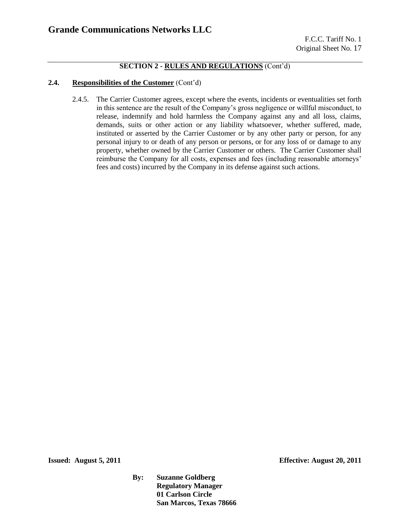#### **2.4. Responsibilities of the Customer** (Cont'd)

2.4.5. The Carrier Customer agrees, except where the events, incidents or eventualities set forth in this sentence are the result of the Company's gross negligence or willful misconduct, to release, indemnify and hold harmless the Company against any and all loss, claims, demands, suits or other action or any liability whatsoever, whether suffered, made, instituted or asserted by the Carrier Customer or by any other party or person, for any personal injury to or death of any person or persons, or for any loss of or damage to any property, whether owned by the Carrier Customer or others. The Carrier Customer shall reimburse the Company for all costs, expenses and fees (including reasonable attorneys' fees and costs) incurred by the Company in its defense against such actions.

**Issued: August 5, 2011 Effective: August 20, 2011**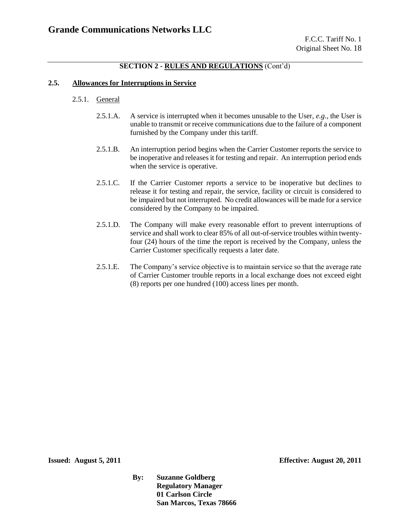### **2.5. Allowances for Interruptions in Service**

- 2.5.1. General
	- 2.5.1.A. A service is interrupted when it becomes unusable to the User, *e.g.*, the User is unable to transmit or receive communications due to the failure of a component furnished by the Company under this tariff.
	- 2.5.1.B. An interruption period begins when the Carrier Customer reports the service to be inoperative and releases it for testing and repair. An interruption period ends when the service is operative.
	- 2.5.1.C. If the Carrier Customer reports a service to be inoperative but declines to release it for testing and repair, the service, facility or circuit is considered to be impaired but not interrupted. No credit allowances will be made for a service considered by the Company to be impaired.
	- 2.5.1.D. The Company will make every reasonable effort to prevent interruptions of service and shall work to clear 85% of all out-of-service troubles within twentyfour (24) hours of the time the report is received by the Company, unless the Carrier Customer specifically requests a later date.
	- 2.5.1.E. The Company's service objective is to maintain service so that the average rate of Carrier Customer trouble reports in a local exchange does not exceed eight (8) reports per one hundred (100) access lines per month.

**Issued: August 5, 2011 Effective: August 20, 2011**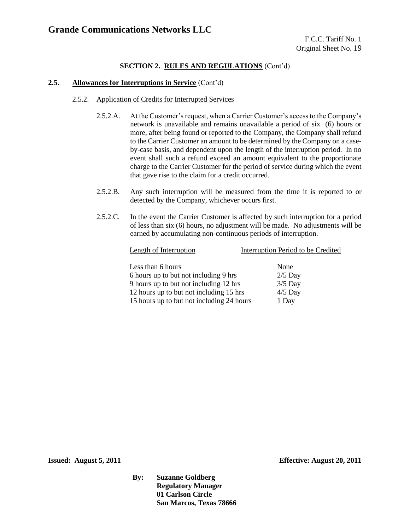### **2.5. Allowances for Interruptions in Service** (Cont'd)

- 2.5.2. Application of Credits for Interrupted Services
	- 2.5.2.A. At the Customer's request, when a Carrier Customer's access to the Company's network is unavailable and remains unavailable a period of six (6) hours or more, after being found or reported to the Company, the Company shall refund to the Carrier Customer an amount to be determined by the Company on a caseby-case basis, and dependent upon the length of the interruption period. In no event shall such a refund exceed an amount equivalent to the proportionate charge to the Carrier Customer for the period of service during which the event that gave rise to the claim for a credit occurred.
	- 2.5.2.B. Any such interruption will be measured from the time it is reported to or detected by the Company, whichever occurs first.
	- 2.5.2.C. In the event the Carrier Customer is affected by such interruption for a period of less than six (6) hours, no adjustment will be made. No adjustments will be earned by accumulating non-continuous periods of interruption.

| Length of Interruption                    | Interruption Period to be Credited |
|-------------------------------------------|------------------------------------|
| Less than 6 hours                         | None                               |
| 6 hours up to but not including 9 hrs     | $2/5$ Day                          |
| 9 hours up to but not including 12 hrs    | $3/5$ Day                          |
| 12 hours up to but not including 15 hrs   | $4/5$ Day                          |
| 15 hours up to but not including 24 hours | 1 Day                              |
|                                           |                                    |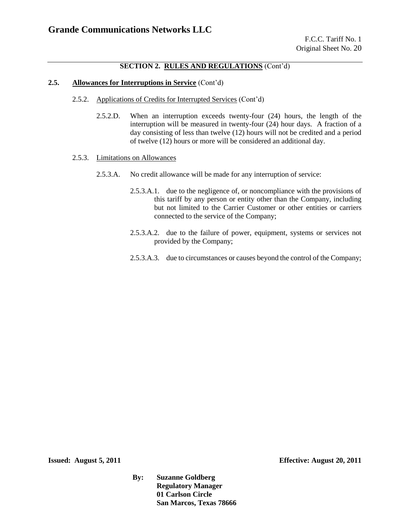#### **2.5. Allowances for Interruptions in Service** (Cont'd)

- 2.5.2. Applications of Credits for Interrupted Services (Cont'd)
	- 2.5.2.D. When an interruption exceeds twenty-four (24) hours, the length of the interruption will be measured in twenty-four (24) hour days. A fraction of a day consisting of less than twelve (12) hours will not be credited and a period of twelve (12) hours or more will be considered an additional day.

#### 2.5.3. Limitations on Allowances

- 2.5.3.A. No credit allowance will be made for any interruption of service:
	- 2.5.3.A.1. due to the negligence of, or noncompliance with the provisions of this tariff by any person or entity other than the Company, including but not limited to the Carrier Customer or other entities or carriers connected to the service of the Company;
	- 2.5.3.A.2. due to the failure of power, equipment, systems or services not provided by the Company;
	- 2.5.3.A.3. due to circumstances or causes beyond the control of the Company;

**Issued: August 5, 2011 Effective: August 20, 2011**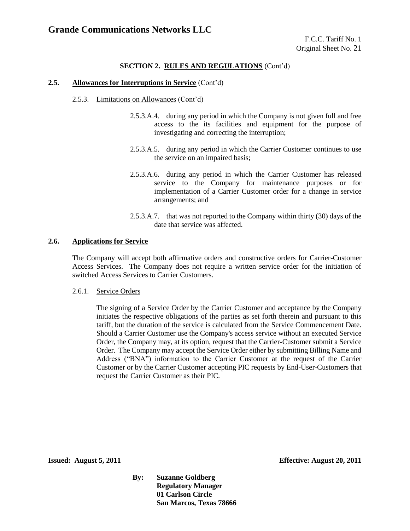#### **2.5. Allowances for Interruptions in Service** (Cont'd)

- 2.5.3. Limitations on Allowances (Cont'd)
	- 2.5.3.A.4. during any period in which the Company is not given full and free access to the its facilities and equipment for the purpose of investigating and correcting the interruption;
	- 2.5.3.A.5. during any period in which the Carrier Customer continues to use the service on an impaired basis;
	- 2.5.3.A.6. during any period in which the Carrier Customer has released service to the Company for maintenance purposes or for implementation of a Carrier Customer order for a change in service arrangements; and
	- 2.5.3.A.7. that was not reported to the Company within thirty (30) days of the date that service was affected.

#### **2.6. Applications for Service**

The Company will accept both affirmative orders and constructive orders for Carrier-Customer Access Services. The Company does not require a written service order for the initiation of switched Access Services to Carrier Customers.

#### 2.6.1. Service Orders

The signing of a Service Order by the Carrier Customer and acceptance by the Company initiates the respective obligations of the parties as set forth therein and pursuant to this tariff, but the duration of the service is calculated from the Service Commencement Date. Should a Carrier Customer use the Company's access service without an executed Service Order, the Company may, at its option, request that the Carrier-Customer submit a Service Order. The Company may accept the Service Order either by submitting Billing Name and Address ("BNA") information to the Carrier Customer at the request of the Carrier Customer or by the Carrier Customer accepting PIC requests by End-User-Customers that request the Carrier Customer as their PIC.

**Issued: August 5, 2011 Effective: August 20, 2011**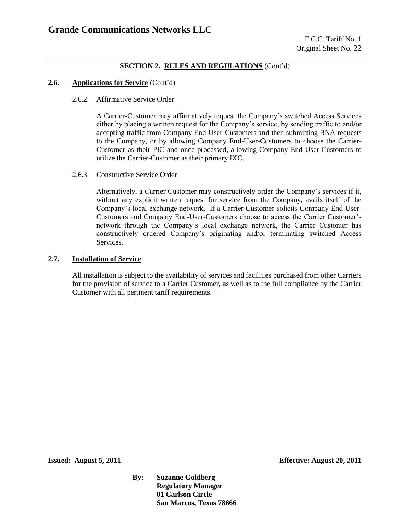#### **2.6. Applications for Service** (Cont'd)

#### 2.6.2. Affirmative Service Order

A Carrier-Customer may affirmatively request the Company's switched Access Services either by placing a written request for the Company's service, by sending traffic to and**/**or accepting traffic from Company End-User-Customers and then submitting BNA requests to the Company, or by allowing Company End-User-Customers to choose the Carrier-Customer as their PIC and once processed, allowing Company End-User-Customers to utilize the Carrier-Customer as their primary IXC.

#### 2.6.3. Constructive Service Order

Alternatively, a Carrier Customer may constructively order the Company's services if it, without any explicit written request for service from the Company, avails itself of the Company's local exchange network. If a Carrier Customer solicits Company End-User-Customers and Company End-User-Customers choose to access the Carrier Customer's network through the Company's local exchange network, the Carrier Customer has constructively ordered Company's originating and/or terminating switched Access Services.

### **2.7. Installation of Service**

All installation is subject to the availability of services and facilities purchased from other Carriers for the provision of service to a Carrier Customer, as well as to the full compliance by the Carrier Customer with all pertinent tariff requirements.

**Issued: August 5, 2011 Effective: August 20, 2011**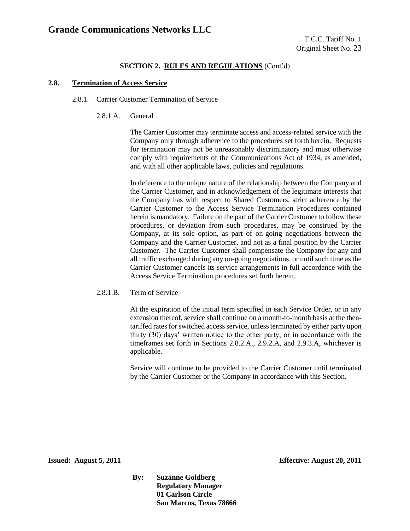#### **2.8. Termination of Access Service**

#### 2.8.1. Carrier Customer Termination of Service

2.8.1.A. General

The Carrier Customer may terminate access and access-related service with the Company only through adherence to the procedures set forth herein. Requests for termination may not be unreasonably discriminatory and must otherwise comply with requirements of the Communications Act of 1934, as amended, and with all other applicable laws, policies and regulations.

In deference to the unique nature of the relationship between the Company and the Carrier Customer, and in acknowledgement of the legitimate interests that the Company has with respect to Shared Customers, strict adherence by the Carrier Customer to the Access Service Termination Procedures contained herein is mandatory. Failure on the part of the Carrier Customer to follow these procedures, or deviation from such procedures, may be construed by the Company, at its sole option, as part of on-going negotiations between the Company and the Carrier Customer, and not as a final position by the Carrier Customer. The Carrier Customer shall compensate the Company for any and all traffic exchanged during any on-going negotiations, or until such time as the Carrier Customer cancels its service arrangements in full accordance with the Access Service Termination procedures set forth herein.

#### 2.8.1.B. Term of Service

At the expiration of the initial term specified in each Service Order, or in any extension thereof, service shall continue on a month-to-month basis at the thentariffed rates for switched access service, unless terminated by either party upon thirty (30) days' written notice to the other party, or in accordance with the timeframes set forth in Sections 2.8.2.A., 2.9.2.A, and 2.9.3.A, whichever is applicable.

Service will continue to be provided to the Carrier Customer until terminated by the Carrier Customer or the Company in accordance with this Section.

**Issued: August 5, 2011 Effective: August 20, 2011**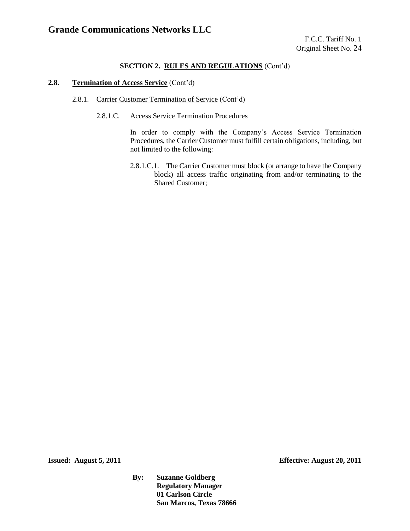### **2.8. Termination of Access Service** (Cont'd)

- 2.8.1. Carrier Customer Termination of Service (Cont'd)
	- 2.8.1.C. Access Service Termination Procedures

In order to comply with the Company's Access Service Termination Procedures, the Carrier Customer must fulfill certain obligations, including, but not limited to the following:

2.8.1.C.1. The Carrier Customer must block (or arrange to have the Company block) all access traffic originating from and/or terminating to the Shared Customer;

**Issued: August 5, 2011 Effective: August 20, 2011**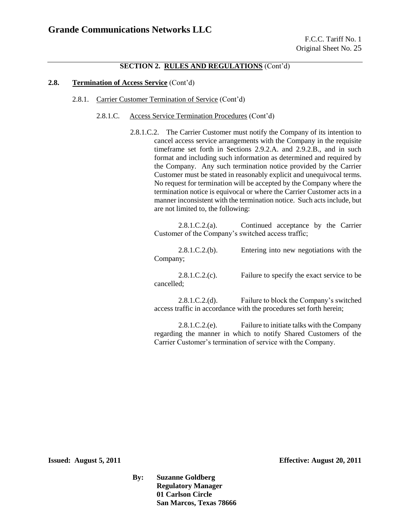#### **2.8. Termination of Access Service** (Cont'd)

- 2.8.1. Carrier Customer Termination of Service (Cont'd)
	- 2.8.1.C. Access Service Termination Procedures (Cont'd)
		- 2.8.1.C.2. The Carrier Customer must notify the Company of its intention to cancel access service arrangements with the Company in the requisite timeframe set forth in Sections 2.9.2.A. and 2.9.2.B., and in such format and including such information as determined and required by the Company. Any such termination notice provided by the Carrier Customer must be stated in reasonably explicit and unequivocal terms. No request for termination will be accepted by the Company where the termination notice is equivocal or where the Carrier Customer acts in a manner inconsistent with the termination notice. Such acts include, but are not limited to, the following:

2.8.1.C.2.(a). Continued acceptance by the Carrier Customer of the Company's switched access traffic;

2.8.1.C.2.(b). Entering into new negotiations with the Company;

2.8.1.C.2.(c). Failure to specify the exact service to be cancelled;

2.8.1.C.2.(d). Failure to block the Company's switched access traffic in accordance with the procedures set forth herein;

2.8.1.C.2.(e). Failure to initiate talks with the Company regarding the manner in which to notify Shared Customers of the Carrier Customer's termination of service with the Company.

**Issued: August 5, 2011 Effective: August 20, 2011**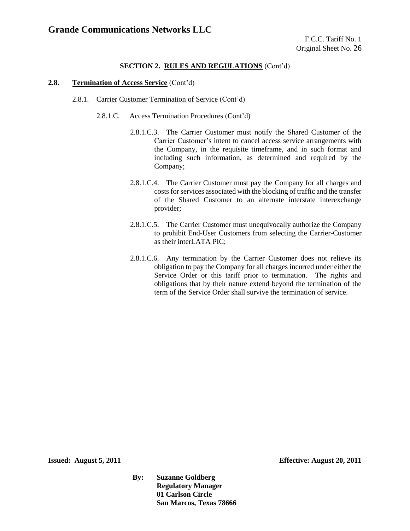#### **2.8. Termination of Access Service** (Cont'd)

- 2.8.1. Carrier Customer Termination of Service (Cont'd)
	- 2.8.1.C. Access Termination Procedures (Cont'd)
		- 2.8.1.C.3. The Carrier Customer must notify the Shared Customer of the Carrier Customer's intent to cancel access service arrangements with the Company, in the requisite timeframe, and in such format and including such information, as determined and required by the Company;
		- 2.8.1.C.4. The Carrier Customer must pay the Company for all charges and costs for services associated with the blocking of traffic and the transfer of the Shared Customer to an alternate interstate interexchange provider;
		- 2.8.1.C.5. The Carrier Customer must unequivocally authorize the Company to prohibit End-User Customers from selecting the Carrier-Customer as their interLATA PIC;
		- 2.8.1.C.6. Any termination by the Carrier Customer does not relieve its obligation to pay the Company for all charges incurred under either the Service Order or this tariff prior to termination. The rights and obligations that by their nature extend beyond the termination of the term of the Service Order shall survive the termination of service.

**Issued: August 5, 2011 Effective: August 20, 2011**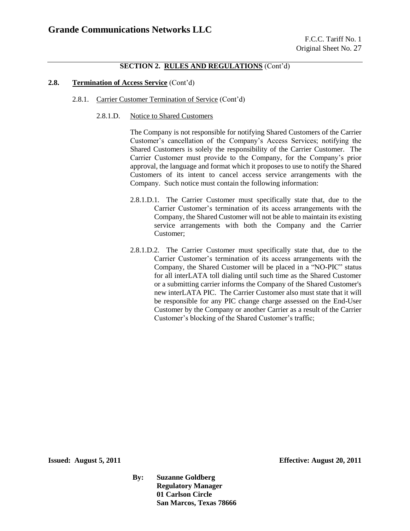#### **2.8. Termination of Access Service** (Cont'd)

- 2.8.1. Carrier Customer Termination of Service (Cont'd)
	- 2.8.1.D. Notice to Shared Customers

The Company is not responsible for notifying Shared Customers of the Carrier Customer's cancellation of the Company's Access Services; notifying the Shared Customers is solely the responsibility of the Carrier Customer. The Carrier Customer must provide to the Company, for the Company's prior approval, the language and format which it proposes to use to notify the Shared Customers of its intent to cancel access service arrangements with the Company. Such notice must contain the following information:

- 2.8.1.D.1. The Carrier Customer must specifically state that, due to the Carrier Customer's termination of its access arrangements with the Company, the Shared Customer will not be able to maintain its existing service arrangements with both the Company and the Carrier Customer;
- 2.8.1.D.2. The Carrier Customer must specifically state that, due to the Carrier Customer's termination of its access arrangements with the Company, the Shared Customer will be placed in a "NO-PIC" status for all interLATA toll dialing until such time as the Shared Customer or a submitting carrier informs the Company of the Shared Customer's new interLATA PIC. The Carrier Customer also must state that it will be responsible for any PIC change charge assessed on the End-User Customer by the Company or another Carrier as a result of the Carrier Customer's blocking of the Shared Customer's traffic;

**Issued: August 5, 2011 Effective: August 20, 2011**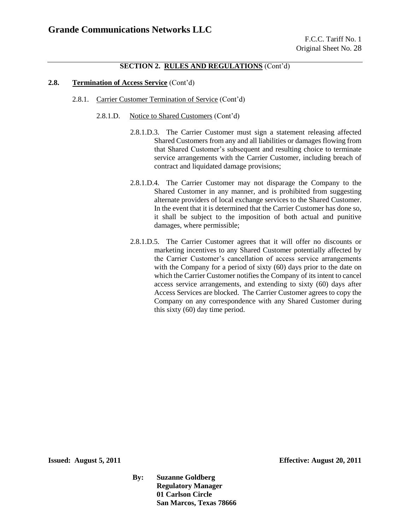#### **2.8. Termination of Access Service** (Cont'd)

- 2.8.1. Carrier Customer Termination of Service (Cont'd)
	- 2.8.1.D. Notice to Shared Customers (Cont'd)
		- 2.8.1.D.3. The Carrier Customer must sign a statement releasing affected Shared Customers from any and all liabilities or damages flowing from that Shared Customer's subsequent and resulting choice to terminate service arrangements with the Carrier Customer, including breach of contract and liquidated damage provisions;
		- 2.8.1.D.4. The Carrier Customer may not disparage the Company to the Shared Customer in any manner, and is prohibited from suggesting alternate providers of local exchange services to the Shared Customer. In the event that it is determined that the Carrier Customer has done so, it shall be subject to the imposition of both actual and punitive damages, where permissible;
		- 2.8.1.D.5. The Carrier Customer agrees that it will offer no discounts or marketing incentives to any Shared Customer potentially affected by the Carrier Customer's cancellation of access service arrangements with the Company for a period of sixty (60) days prior to the date on which the Carrier Customer notifies the Company of its intent to cancel access service arrangements, and extending to sixty (60) days after Access Services are blocked. The Carrier Customer agrees to copy the Company on any correspondence with any Shared Customer during this sixty (60) day time period.

**Issued: August 5, 2011 Effective: August 20, 2011**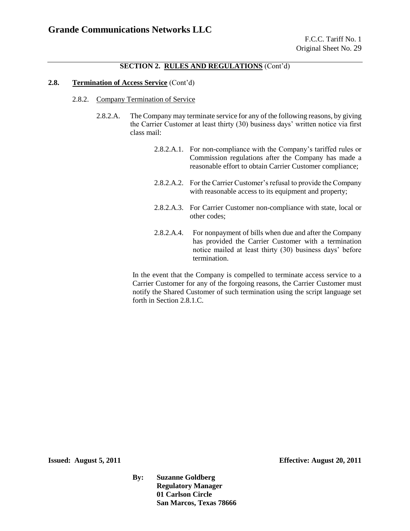#### **2.8. Termination of Access Service** (Cont'd)

- 2.8.2. Company Termination of Service
	- 2.8.2.A. The Company may terminate service for any of the following reasons, by giving the Carrier Customer at least thirty (30) business days' written notice via first class mail:
		- 2.8.2.A.1. For non-compliance with the Company's tariffed rules or Commission regulations after the Company has made a reasonable effort to obtain Carrier Customer compliance;
		- 2.8.2.A.2. For the Carrier Customer's refusal to provide the Company with reasonable access to its equipment and property;
		- 2.8.2.A.3. For Carrier Customer non-compliance with state, local or other codes;
		- 2.8.2.A.4. For nonpayment of bills when due and after the Company has provided the Carrier Customer with a termination notice mailed at least thirty (30) business days' before termination.

In the event that the Company is compelled to terminate access service to a Carrier Customer for any of the forgoing reasons, the Carrier Customer must notify the Shared Customer of such termination using the script language set forth in Section 2.8.1.C.

**Issued: August 5, 2011 Effective: August 20, 2011**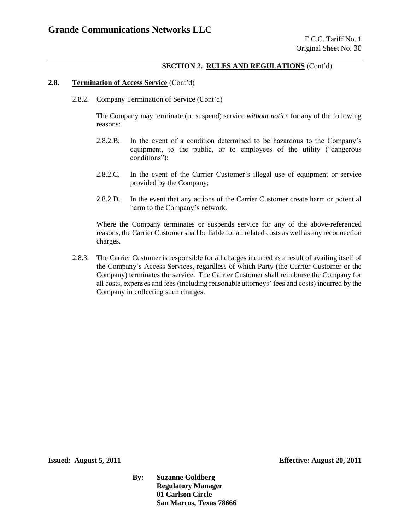#### **2.8. Termination of Access Service** (Cont'd)

2.8.2. Company Termination of Service (Cont'd)

The Company may terminate (or suspend) service *without notice* for any of the following reasons:

- 2.8.2.B. In the event of a condition determined to be hazardous to the Company's equipment, to the public, or to employees of the utility ("dangerous conditions");
- 2.8.2.C. In the event of the Carrier Customer's illegal use of equipment or service provided by the Company;
- 2.8.2.D. In the event that any actions of the Carrier Customer create harm or potential harm to the Company's network.

Where the Company terminates or suspends service for any of the above-referenced reasons, the Carrier Customer shall be liable for all related costs as well as any reconnection charges.

2.8.3. The Carrier Customer is responsible for all charges incurred as a result of availing itself of the Company's Access Services, regardless of which Party (the Carrier Customer or the Company) terminates the service. The Carrier Customer shall reimburse the Company for all costs, expenses and fees (including reasonable attorneys' fees and costs) incurred by the Company in collecting such charges.

**Issued: August 5, 2011 Effective: August 20, 2011**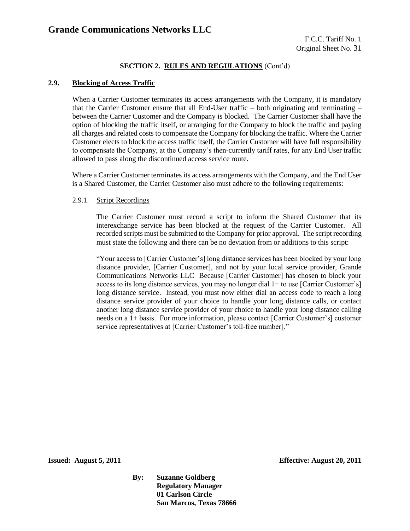### **2.9. Blocking of Access Traffic**

When a Carrier Customer terminates its access arrangements with the Company, it is mandatory that the Carrier Customer ensure that all End-User traffic  $-$  both originating and terminating  $$ between the Carrier Customer and the Company is blocked. The Carrier Customer shall have the option of blocking the traffic itself, or arranging for the Company to block the traffic and paying all charges and related costs to compensate the Company for blocking the traffic. Where the Carrier Customer elects to block the access traffic itself, the Carrier Customer will have full responsibility to compensate the Company, at the Company's then-currently tariff rates, for any End User traffic allowed to pass along the discontinued access service route.

Where a Carrier Customer terminates its access arrangements with the Company, and the End User is a Shared Customer, the Carrier Customer also must adhere to the following requirements:

#### 2.9.1. Script Recordings

The Carrier Customer must record a script to inform the Shared Customer that its interexchange service has been blocked at the request of the Carrier Customer. All recorded scripts must be submitted to the Company for prior approval. The script recording must state the following and there can be no deviation from or additions to this script:

"Your access to [Carrier Customer's] long distance services has been blocked by your long distance provider, [Carrier Customer], and not by your local service provider, Grande Communications Networks LLC Because [Carrier Customer] has chosen to block your access to its long distance services, you may no longer dial 1+ to use [Carrier Customer's] long distance service. Instead, you must now either dial an access code to reach a long distance service provider of your choice to handle your long distance calls, or contact another long distance service provider of your choice to handle your long distance calling needs on a 1+ basis. For more information, please contact [Carrier Customer's] customer service representatives at [Carrier Customer's toll-free number]."

**Issued: August 5, 2011 Effective: August 20, 2011**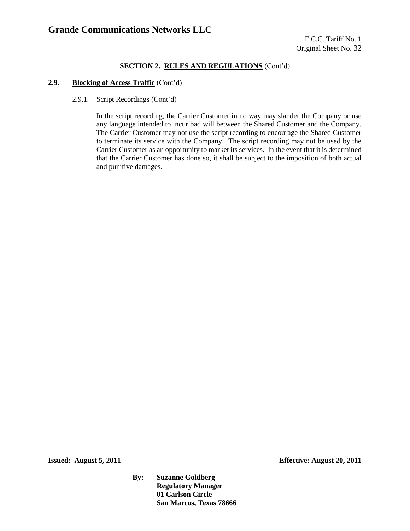### **2.9. Blocking of Access Traffic** (Cont'd)

#### 2.9.1. Script Recordings (Cont'd)

In the script recording, the Carrier Customer in no way may slander the Company or use any language intended to incur bad will between the Shared Customer and the Company. The Carrier Customer may not use the script recording to encourage the Shared Customer to terminate its service with the Company. The script recording may not be used by the Carrier Customer as an opportunity to market its services. In the event that it is determined that the Carrier Customer has done so, it shall be subject to the imposition of both actual and punitive damages.

**Issued: August 5, 2011 Effective: August 20, 2011**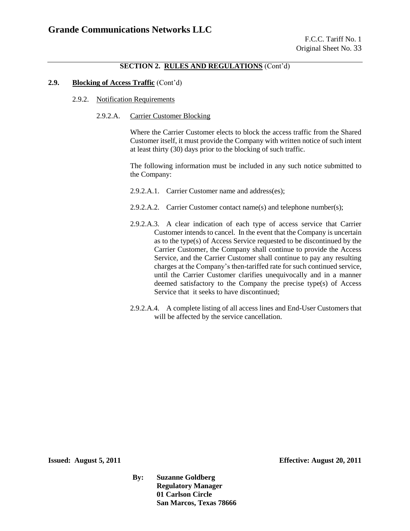#### **2.9. Blocking of Access Traffic** (Cont'd)

- 2.9.2. Notification Requirements
	- 2.9.2.A. Carrier Customer Blocking

Where the Carrier Customer elects to block the access traffic from the Shared Customer itself, it must provide the Company with written notice of such intent at least thirty (30) days prior to the blocking of such traffic.

The following information must be included in any such notice submitted to the Company:

- 2.9.2.A.1. Carrier Customer name and address(es);
- 2.9.2.A.2. Carrier Customer contact name(s) and telephone number(s);
- 2.9.2.A.3. A clear indication of each type of access service that Carrier Customer intends to cancel. In the event that the Company is uncertain as to the type(s) of Access Service requested to be discontinued by the Carrier Customer, the Company shall continue to provide the Access Service, and the Carrier Customer shall continue to pay any resulting charges at the Company's then-tariffed rate for such continued service, until the Carrier Customer clarifies unequivocally and in a manner deemed satisfactory to the Company the precise type(s) of Access Service that it seeks to have discontinued:
- 2.9.2.A.4. A complete listing of all access lines and End-User Customers that will be affected by the service cancellation.

**Issued: August 5, 2011 Effective: August 20, 2011**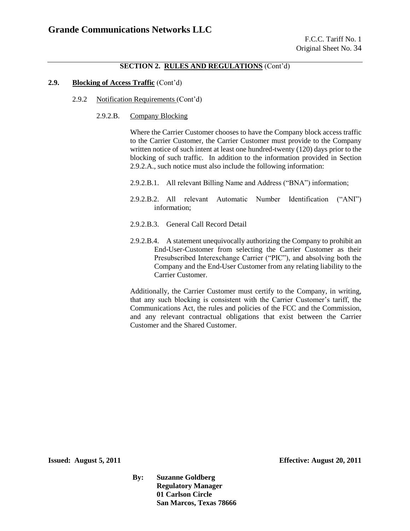### **2.9. Blocking of Access Traffic** (Cont'd)

- 2.9.2 Notification Requirements (Cont'd)
	- 2.9.2.B. Company Blocking

Where the Carrier Customer chooses to have the Company block access traffic to the Carrier Customer, the Carrier Customer must provide to the Company written notice of such intent at least one hundred-twenty (120) days prior to the blocking of such traffic. In addition to the information provided in Section 2.9.2.A., such notice must also include the following information:

- 2.9.2.B.1. All relevant Billing Name and Address ("BNA") information;
- 2.9.2.B.2. All relevant Automatic Number Identification ("ANI") information;
- 2.9.2.B.3. General Call Record Detail
- 2.9.2.B.4. A statement unequivocally authorizing the Company to prohibit an End-User-Customer from selecting the Carrier Customer as their Presubscribed Interexchange Carrier ("PIC"), and absolving both the Company and the End-User Customer from any relating liability to the Carrier Customer.

Additionally, the Carrier Customer must certify to the Company, in writing, that any such blocking is consistent with the Carrier Customer's tariff, the Communications Act, the rules and policies of the FCC and the Commission, and any relevant contractual obligations that exist between the Carrier Customer and the Shared Customer.

**Issued: August 5, 2011 Effective: August 20, 2011**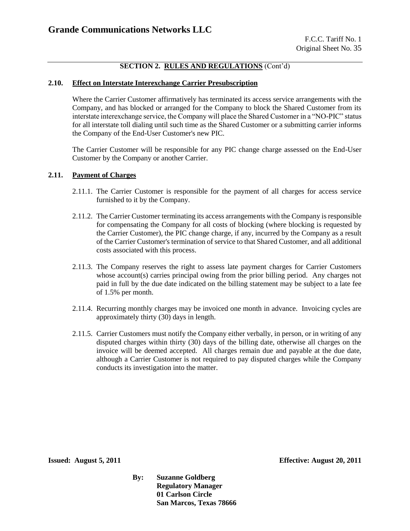#### **2.10. Effect on Interstate Interexchange Carrier Presubscription**

Where the Carrier Customer affirmatively has terminated its access service arrangements with the Company, and has blocked or arranged for the Company to block the Shared Customer from its interstate interexchange service, the Company will place the Shared Customer in a "NO-PIC" status for all interstate toll dialing until such time as the Shared Customer or a submitting carrier informs the Company of the End-User Customer's new PIC.

The Carrier Customer will be responsible for any PIC change charge assessed on the End-User Customer by the Company or another Carrier.

#### **2.11. Payment of Charges**

- 2.11.1. The Carrier Customer is responsible for the payment of all charges for access service furnished to it by the Company.
- 2.11.2. The Carrier Customer terminating its access arrangements with the Company is responsible for compensating the Company for all costs of blocking (where blocking is requested by the Carrier Customer), the PIC change charge, if any, incurred by the Company as a result of the Carrier Customer's termination of service to that Shared Customer, and all additional costs associated with this process.
- 2.11.3. The Company reserves the right to assess late payment charges for Carrier Customers whose account(s) carries principal owing from the prior billing period. Any charges not paid in full by the due date indicated on the billing statement may be subject to a late fee of 1.5% per month.
- 2.11.4. Recurring monthly charges may be invoiced one month in advance. Invoicing cycles are approximately thirty (30) days in length.
- 2.11.5. Carrier Customers must notify the Company either verbally, in person, or in writing of any disputed charges within thirty (30) days of the billing date, otherwise all charges on the invoice will be deemed accepted. All charges remain due and payable at the due date, although a Carrier Customer is not required to pay disputed charges while the Company conducts its investigation into the matter.

**Issued: August 5, 2011 Effective: August 20, 2011**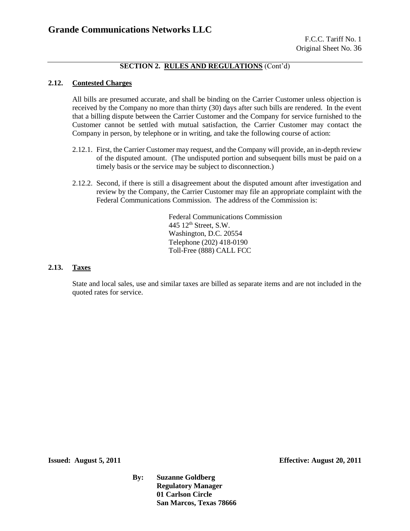#### **2.12. Contested Charges**

All bills are presumed accurate, and shall be binding on the Carrier Customer unless objection is received by the Company no more than thirty (30) days after such bills are rendered. In the event that a billing dispute between the Carrier Customer and the Company for service furnished to the Customer cannot be settled with mutual satisfaction, the Carrier Customer may contact the Company in person, by telephone or in writing, and take the following course of action:

- 2.12.1. First, the Carrier Customer may request, and the Company will provide, an in-depth review of the disputed amount. (The undisputed portion and subsequent bills must be paid on a timely basis or the service may be subject to disconnection.)
- 2.12.2. Second, if there is still a disagreement about the disputed amount after investigation and review by the Company, the Carrier Customer may file an appropriate complaint with the Federal Communications Commission. The address of the Commission is:

Federal Communications Commission 445 12th Street, S.W. Washington, D.C. 20554 Telephone (202) 418-0190 Toll-Free (888) CALL FCC

#### **2.13. Taxes**

State and local sales, use and similar taxes are billed as separate items and are not included in the quoted rates for service.

**Issued: August 5, 2011 Effective: August 20, 2011**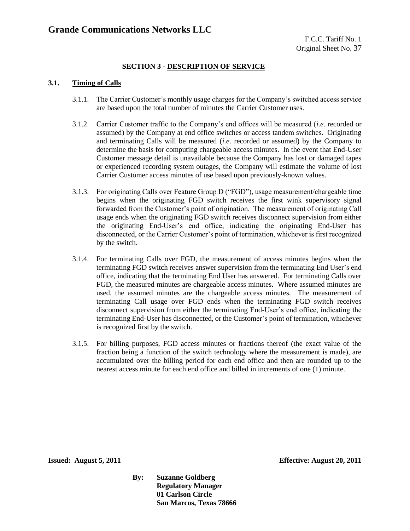### **SECTION 3 - DESCRIPTION OF SERVICE**

### **3.1. Timing of Calls**

- 3.1.1. The Carrier Customer's monthly usage charges for the Company's switched access service are based upon the total number of minutes the Carrier Customer uses.
- 3.1.2. Carrier Customer traffic to the Company's end offices will be measured (*i.e*. recorded or assumed) by the Company at end office switches or access tandem switches. Originating and terminating Calls will be measured (*i.e*. recorded or assumed) by the Company to determine the basis for computing chargeable access minutes. In the event that End-User Customer message detail is unavailable because the Company has lost or damaged tapes or experienced recording system outages, the Company will estimate the volume of lost Carrier Customer access minutes of use based upon previously-known values.
- 3.1.3. For originating Calls over Feature Group D ("FGD"), usage measurement/chargeable time begins when the originating FGD switch receives the first wink supervisory signal forwarded from the Customer's point of origination. The measurement of originating Call usage ends when the originating FGD switch receives disconnect supervision from either the originating End-User's end office, indicating the originating End-User has disconnected, or the Carrier Customer's point of termination, whichever is first recognized by the switch.
- 3.1.4. For terminating Calls over FGD, the measurement of access minutes begins when the terminating FGD switch receives answer supervision from the terminating End User's end office, indicating that the terminating End User has answered. For terminating Calls over FGD, the measured minutes are chargeable access minutes. Where assumed minutes are used, the assumed minutes are the chargeable access minutes. The measurement of terminating Call usage over FGD ends when the terminating FGD switch receives disconnect supervision from either the terminating End-User's end office, indicating the terminating End-User has disconnected, or the Customer's point of termination, whichever is recognized first by the switch.
- 3.1.5. For billing purposes, FGD access minutes or fractions thereof (the exact value of the fraction being a function of the switch technology where the measurement is made), are accumulated over the billing period for each end office and then are rounded up to the nearest access minute for each end office and billed in increments of one (1) minute.

**Issued: August 5, 2011 Effective: August 20, 2011**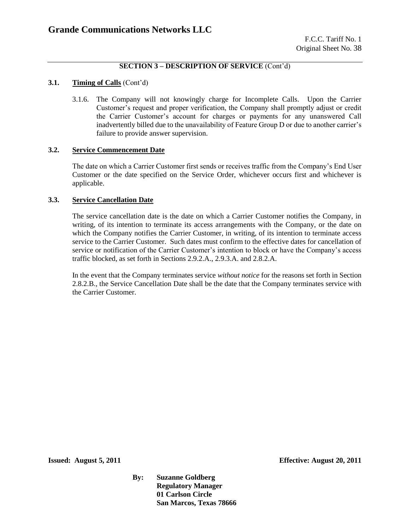#### **3.1. Timing of Calls** (Cont'd)

3.1.6. The Company will not knowingly charge for Incomplete Calls. Upon the Carrier Customer's request and proper verification, the Company shall promptly adjust or credit the Carrier Customer's account for charges or payments for any unanswered Call inadvertently billed due to the unavailability of Feature Group D or due to another carrier's failure to provide answer supervision.

#### **3.2. Service Commencement Date**

The date on which a Carrier Customer first sends or receives traffic from the Company's End User Customer or the date specified on the Service Order, whichever occurs first and whichever is applicable.

#### **3.3. Service Cancellation Date**

The service cancellation date is the date on which a Carrier Customer notifies the Company, in writing, of its intention to terminate its access arrangements with the Company, or the date on which the Company notifies the Carrier Customer, in writing, of its intention to terminate access service to the Carrier Customer. Such dates must confirm to the effective dates for cancellation of service or notification of the Carrier Customer's intention to block or have the Company's access traffic blocked, as set forth in Sections 2.9.2.A., 2.9.3.A. and 2.8.2.A.

In the event that the Company terminates service *without notice* for the reasons set forth in Section 2.8.2.B., the Service Cancellation Date shall be the date that the Company terminates service with the Carrier Customer.

**Issued: August 5, 2011 Effective: August 20, 2011**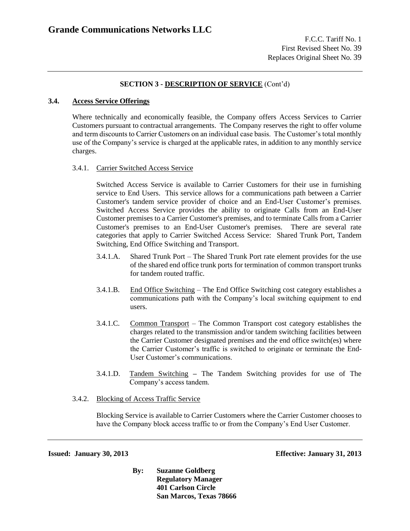#### **3.4. Access Service Offerings**

Where technically and economically feasible, the Company offers Access Services to Carrier Customers pursuant to contractual arrangements. The Company reserves the right to offer volume and term discounts to Carrier Customers on an individual case basis. The Customer's total monthly use of the Company's service is charged at the applicable rates, in addition to any monthly service charges.

#### 3.4.1. Carrier Switched Access Service

Switched Access Service is available to Carrier Customers for their use in furnishing service to End Users. This service allows for a communications path between a Carrier Customer's tandem service provider of choice and an End-User Customer's premises. Switched Access Service provides the ability to originate Calls from an End-User Customer premises to a Carrier Customer's premises, and to terminate Calls from a Carrier Customer's premises to an End-User Customer's premises. There are several rate categories that apply to Carrier Switched Access Service: Shared Trunk Port, Tandem Switching, End Office Switching and Transport.

- 3.4.1.A. Shared Trunk Port The Shared Trunk Port rate element provides for the use of the shared end office trunk ports for termination of common transport trunks for tandem routed traffic.
- 3.4.1.B. End Office Switching The End Office Switching cost category establishes a communications path with the Company's local switching equipment to end users.
- 3.4.1.C. Common Transport The Common Transport cost category establishes the charges related to the transmission and/or tandem switching facilities between the Carrier Customer designated premises and the end office switch(es) where the Carrier Customer's traffic is switched to originate or terminate the End-User Customer's communications.
- 3.4.1.D. Tandem Switching **–** The Tandem Switching provides for use of The Company's access tandem.
- 3.4.2. Blocking of Access Traffic Service

Blocking Service is available to Carrier Customers where the Carrier Customer chooses to have the Company block access traffic to or from the Company's End User Customer.

**Issued: January 30, 2013 Effective: January 31, 2013**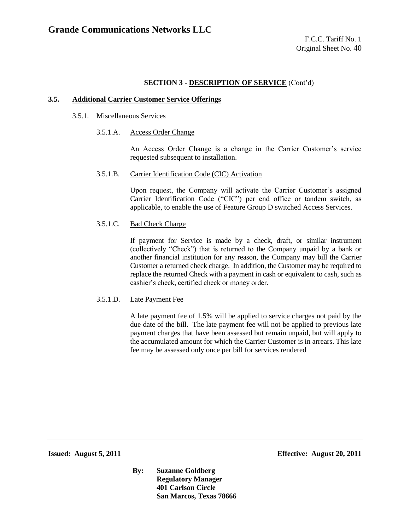#### **3.5. Additional Carrier Customer Service Offerings**

#### 3.5.1. Miscellaneous Services

3.5.1.A. Access Order Change

An Access Order Change is a change in the Carrier Customer's service requested subsequent to installation.

#### 3.5.1.B. Carrier Identification Code (CIC) Activation

Upon request, the Company will activate the Carrier Customer's assigned Carrier Identification Code ("CIC") per end office or tandem switch, as applicable, to enable the use of Feature Group D switched Access Services.

#### 3.5.1.C. Bad Check Charge

If payment for Service is made by a check, draft, or similar instrument (collectively "Check") that is returned to the Company unpaid by a bank or another financial institution for any reason, the Company may bill the Carrier Customer a returned check charge. In addition, the Customer may be required to replace the returned Check with a payment in cash or equivalent to cash, such as cashier's check, certified check or money order.

#### 3.5.1.D. Late Payment Fee

A late payment fee of 1.5% will be applied to service charges not paid by the due date of the bill. The late payment fee will not be applied to previous late payment charges that have been assessed but remain unpaid, but will apply to the accumulated amount for which the Carrier Customer is in arrears. This late fee may be assessed only once per bill for services rendered

**Issued: August 5, 2011 Effective: August 20, 2011**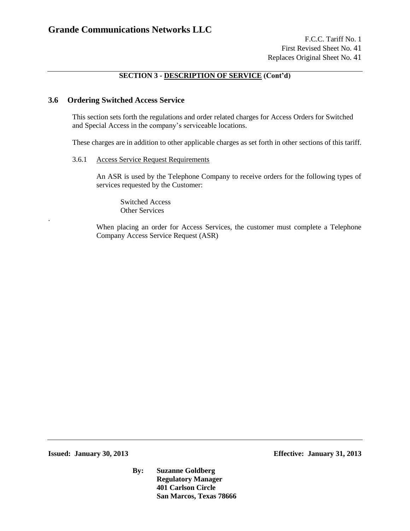### **3.6 Ordering Switched Access Service**

This section sets forth the regulations and order related charges for Access Orders for Switched and Special Access in the company's serviceable locations.

These charges are in addition to other applicable charges as set forth in other sections of this tariff.

#### 3.6.1 Access Service Request Requirements

An ASR is used by the Telephone Company to receive orders for the following types of services requested by the Customer:

Switched Access Other Services

When placing an order for Access Services, the customer must complete a Telephone Company Access Service Request (ASR)

**Issued: January 30, 2013 Effective: January 31, 2013**

.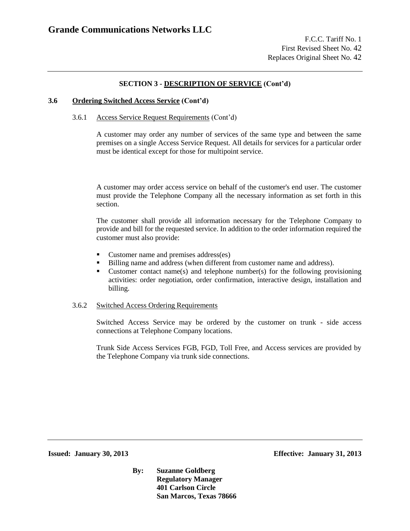#### **3.6 Ordering Switched Access Service (Cont'd)**

#### 3.6.1 Access Service Request Requirements (Cont'd)

A customer may order any number of services of the same type and between the same premises on a single Access Service Request. All details for services for a particular order must be identical except for those for multipoint service.

A customer may order access service on behalf of the customer's end user. The customer must provide the Telephone Company all the necessary information as set forth in this section.

The customer shall provide all information necessary for the Telephone Company to provide and bill for the requested service. In addition to the order information required the customer must also provide:

- **Customer name and premises address(es)**
- Billing name and address (when different from customer name and address).
- Customer contact name(s) and telephone number(s) for the following provisioning activities: order negotiation, order confirmation, interactive design, installation and billing.

#### 3.6.2 Switched Access Ordering Requirements

Switched Access Service may be ordered by the customer on trunk - side access connections at Telephone Company locations.

Trunk Side Access Services FGB, FGD, Toll Free, and Access services are provided by the Telephone Company via trunk side connections.

**Issued: January 30, 2013 Effective: January 31, 2013**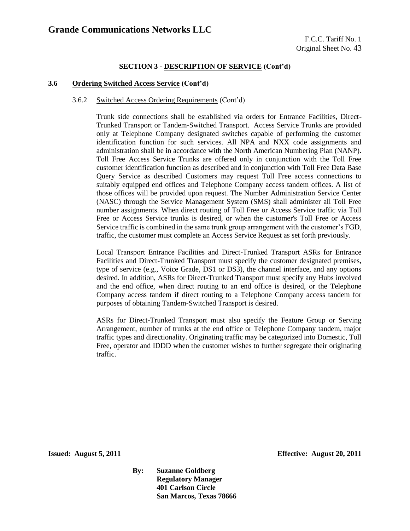#### **3.6 Ordering Switched Access Service (Cont'd)**

#### 3.6.2 Switched Access Ordering Requirements (Cont'd)

Trunk side connections shall be established via orders for Entrance Facilities, Direct-Trunked Transport or Tandem-Switched Transport. Access Service Trunks are provided only at Telephone Company designated switches capable of performing the customer identification function for such services. All NPA and NXX code assignments and administration shall be in accordance with the North American Numbering Plan (NANP). Toll Free Access Service Trunks are offered only in conjunction with the Toll Free customer identification function as described and in conjunction with Toll Free Data Base Query Service as described Customers may request Toll Free access connections to suitably equipped end offices and Telephone Company access tandem offices. A list of those offices will be provided upon request. The Number Administration Service Center (NASC) through the Service Management System (SMS) shall administer all Toll Free number assignments. When direct routing of Toll Free or Access Service traffic via Toll Free or Access Service trunks is desired, or when the customer's Toll Free or Access Service traffic is combined in the same trunk group arrangement with the customer's FGD, traffic, the customer must complete an Access Service Request as set forth previously.

Local Transport Entrance Facilities and Direct-Trunked Transport ASRs for Entrance Facilities and Direct-Trunked Transport must specify the customer designated premises, type of service (e.g., Voice Grade, DS1 or DS3), the channel interface, and any options desired. In addition, ASRs for Direct-Trunked Transport must specify any Hubs involved and the end office, when direct routing to an end office is desired, or the Telephone Company access tandem if direct routing to a Telephone Company access tandem for purposes of obtaining Tandem-Switched Transport is desired.

ASRs for Direct-Trunked Transport must also specify the Feature Group or Serving Arrangement, number of trunks at the end office or Telephone Company tandem, major traffic types and directionality. Originating traffic may be categorized into Domestic, Toll Free, operator and IDDD when the customer wishes to further segregate their originating traffic.

**Issued: August 5, 2011 Effective: August 20, 2011**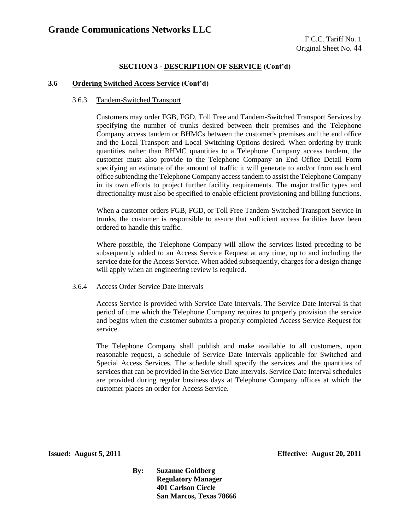#### **3.6 Ordering Switched Access Service (Cont'd)**

#### 3.6.3 Tandem-Switched Transport

Customers may order FGB, FGD, Toll Free and Tandem-Switched Transport Services by specifying the number of trunks desired between their premises and the Telephone Company access tandem or BHMCs between the customer's premises and the end office and the Local Transport and Local Switching Options desired. When ordering by trunk quantities rather than BHMC quantities to a Telephone Company access tandem, the customer must also provide to the Telephone Company an End Office Detail Form specifying an estimate of the amount of traffic it will generate to and/or from each end office subtending the Telephone Company access tandem to assist the Telephone Company in its own efforts to project further facility requirements. The major traffic types and directionality must also be specified to enable efficient provisioning and billing functions.

When a customer orders FGB, FGD, or Toll Free Tandem-Switched Transport Service in trunks, the customer is responsible to assure that sufficient access facilities have been ordered to handle this traffic.

Where possible, the Telephone Company will allow the services listed preceding to be subsequently added to an Access Service Request at any time, up to and including the service date for the Access Service. When added subsequently, charges for a design change will apply when an engineering review is required.

#### 3.6.4 Access Order Service Date Intervals

Access Service is provided with Service Date Intervals. The Service Date Interval is that period of time which the Telephone Company requires to properly provision the service and begins when the customer submits a properly completed Access Service Request for service.

The Telephone Company shall publish and make available to all customers, upon reasonable request, a schedule of Service Date Intervals applicable for Switched and Special Access Services. The schedule shall specify the services and the quantities of services that can be provided in the Service Date Intervals. Service Date Interval schedules are provided during regular business days at Telephone Company offices at which the customer places an order for Access Service.

**Issued: August 5, 2011 Effective: August 20, 2011**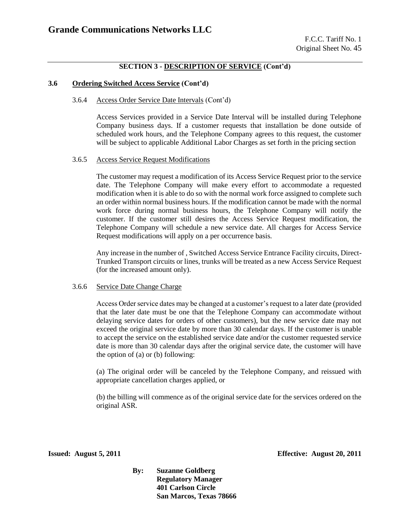#### **3.6 Ordering Switched Access Service (Cont'd)**

#### 3.6.4 Access Order Service Date Intervals (Cont'd)

Access Services provided in a Service Date Interval will be installed during Telephone Company business days. If a customer requests that installation be done outside of scheduled work hours, and the Telephone Company agrees to this request, the customer will be subject to applicable Additional Labor Charges as set forth in the pricing section

#### 3.6.5 Access Service Request Modifications

The customer may request a modification of its Access Service Request prior to the service date. The Telephone Company will make every effort to accommodate a requested modification when it is able to do so with the normal work force assigned to complete such an order within normal business hours. If the modification cannot be made with the normal work force during normal business hours, the Telephone Company will notify the customer. If the customer still desires the Access Service Request modification, the Telephone Company will schedule a new service date. All charges for Access Service Request modifications will apply on a per occurrence basis.

Any increase in the number of , Switched Access Service Entrance Facility circuits, Direct-Trunked Transport circuits or lines, trunks will be treated as a new Access Service Request (for the increased amount only).

#### 3.6.6 Service Date Change Charge

Access Order service dates may be changed at a customer's request to a later date (provided that the later date must be one that the Telephone Company can accommodate without delaying service dates for orders of other customers), but the new service date may not exceed the original service date by more than 30 calendar days. If the customer is unable to accept the service on the established service date and/or the customer requested service date is more than 30 calendar days after the original service date, the customer will have the option of (a) or (b) following:

(a) The original order will be canceled by the Telephone Company, and reissued with appropriate cancellation charges applied, or

(b) the billing will commence as of the original service date for the services ordered on the original ASR.

**Issued: August 5, 2011 Effective: August 20, 2011**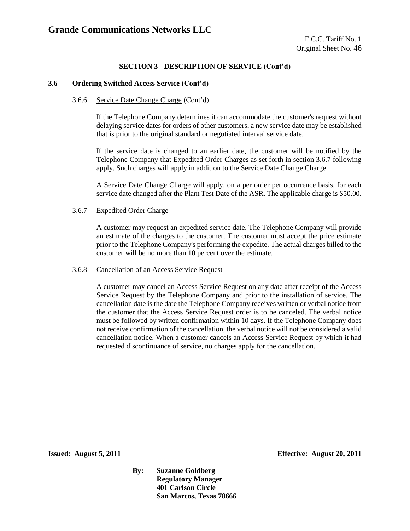#### **3.6 Ordering Switched Access Service (Cont'd)**

#### 3.6.6 Service Date Change Charge (Cont'd)

If the Telephone Company determines it can accommodate the customer's request without delaying service dates for orders of other customers, a new service date may be established that is prior to the original standard or negotiated interval service date.

If the service date is changed to an earlier date, the customer will be notified by the Telephone Company that Expedited Order Charges as set forth in section 3.6.7 following apply. Such charges will apply in addition to the Service Date Change Charge.

A Service Date Change Charge will apply, on a per order per occurrence basis, for each service date changed after the Plant Test Date of the ASR. The applicable charge is \$50.00.

#### 3.6.7 Expedited Order Charge

A customer may request an expedited service date. The Telephone Company will provide an estimate of the charges to the customer. The customer must accept the price estimate prior to the Telephone Company's performing the expedite. The actual charges billed to the customer will be no more than 10 percent over the estimate.

#### 3.6.8 Cancellation of an Access Service Request

A customer may cancel an Access Service Request on any date after receipt of the Access Service Request by the Telephone Company and prior to the installation of service. The cancellation date is the date the Telephone Company receives written or verbal notice from the customer that the Access Service Request order is to be canceled. The verbal notice must be followed by written confirmation within 10 days. If the Telephone Company does not receive confirmation of the cancellation, the verbal notice will not be considered a valid cancellation notice. When a customer cancels an Access Service Request by which it had requested discontinuance of service, no charges apply for the cancellation.

**Issued: August 5, 2011 Effective: August 20, 2011**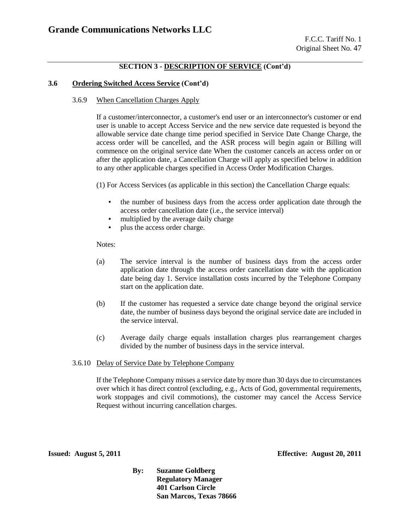#### **3.6 Ordering Switched Access Service (Cont'd)**

#### 3.6.9 When Cancellation Charges Apply

If a customer/interconnector, a customer's end user or an interconnector's customer or end user is unable to accept Access Service and the new service date requested is beyond the allowable service date change time period specified in Service Date Change Charge, the access order will be cancelled, and the ASR process will begin again or Billing will commence on the original service date When the customer cancels an access order on or after the application date, a Cancellation Charge will apply as specified below in addition to any other applicable charges specified in Access Order Modification Charges.

(1) For Access Services (as applicable in this section) the Cancellation Charge equals:

- the number of business days from the access order application date through the access order cancellation date (i.e., the service interval)
- multiplied by the average daily charge
- plus the access order charge.

#### Notes:

- (a) The service interval is the number of business days from the access order application date through the access order cancellation date with the application date being day 1. Service installation costs incurred by the Telephone Company start on the application date.
- (b) If the customer has requested a service date change beyond the original service date, the number of business days beyond the original service date are included in the service interval.
- (c) Average daily charge equals installation charges plus rearrangement charges divided by the number of business days in the service interval.

#### 3.6.10 Delay of Service Date by Telephone Company

If the Telephone Company misses a service date by more than 30 days due to circumstances over which it has direct control (excluding, e.g., Acts of God, governmental requirements, work stoppages and civil commotions), the customer may cancel the Access Service Request without incurring cancellation charges.

**Issued: August 5, 2011 Effective: August 20, 2011**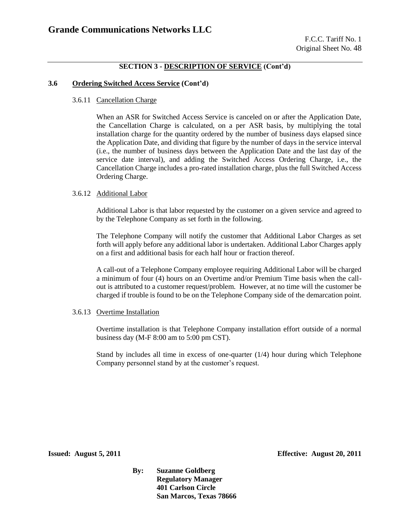#### **3.6 Ordering Switched Access Service (Cont'd)**

3.6.11 Cancellation Charge

When an ASR for Switched Access Service is canceled on or after the Application Date, the Cancellation Charge is calculated, on a per ASR basis, by multiplying the total installation charge for the quantity ordered by the number of business days elapsed since the Application Date, and dividing that figure by the number of days in the service interval (i.e., the number of business days between the Application Date and the last day of the service date interval), and adding the Switched Access Ordering Charge, i.e., the Cancellation Charge includes a pro-rated installation charge, plus the full Switched Access Ordering Charge.

#### 3.6.12 Additional Labor

Additional Labor is that labor requested by the customer on a given service and agreed to by the Telephone Company as set forth in the following.

The Telephone Company will notify the customer that Additional Labor Charges as set forth will apply before any additional labor is undertaken. Additional Labor Charges apply on a first and additional basis for each half hour or fraction thereof.

A call-out of a Telephone Company employee requiring Additional Labor will be charged a minimum of four (4) hours on an Overtime and/or Premium Time basis when the callout is attributed to a customer request/problem. However, at no time will the customer be charged if trouble is found to be on the Telephone Company side of the demarcation point.

#### 3.6.13 Overtime Installation

Overtime installation is that Telephone Company installation effort outside of a normal business day (M-F 8:00 am to 5:00 pm CST).

Stand by includes all time in excess of one-quarter (1/4) hour during which Telephone Company personnel stand by at the customer's request.

**Issued: August 5, 2011 Effective: August 20, 2011**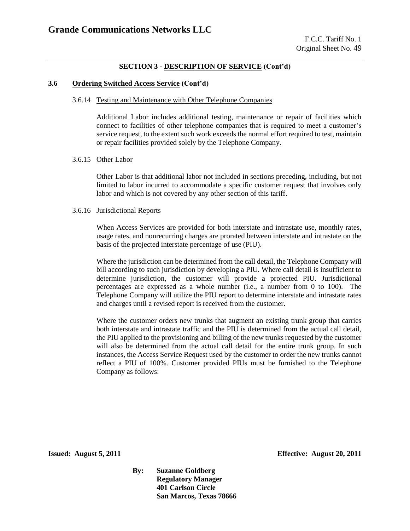#### **3.6 Ordering Switched Access Service (Cont'd)**

#### 3.6.14 Testing and Maintenance with Other Telephone Companies

Additional Labor includes additional testing, maintenance or repair of facilities which connect to facilities of other telephone companies that is required to meet a customer's service request, to the extent such work exceeds the normal effort required to test, maintain or repair facilities provided solely by the Telephone Company.

#### 3.6.15 Other Labor

Other Labor is that additional labor not included in sections preceding, including, but not limited to labor incurred to accommodate a specific customer request that involves only labor and which is not covered by any other section of this tariff.

#### 3.6.16 Jurisdictional Reports

When Access Services are provided for both interstate and intrastate use, monthly rates, usage rates, and nonrecurring charges are prorated between interstate and intrastate on the basis of the projected interstate percentage of use (PIU).

Where the jurisdiction can be determined from the call detail, the Telephone Company will bill according to such jurisdiction by developing a PIU. Where call detail is insufficient to determine jurisdiction, the customer will provide a projected PIU. Jurisdictional percentages are expressed as a whole number (i.e., a number from 0 to 100). The Telephone Company will utilize the PIU report to determine interstate and intrastate rates and charges until a revised report is received from the customer.

Where the customer orders new trunks that augment an existing trunk group that carries both interstate and intrastate traffic and the PIU is determined from the actual call detail, the PIU applied to the provisioning and billing of the new trunks requested by the customer will also be determined from the actual call detail for the entire trunk group. In such instances, the Access Service Request used by the customer to order the new trunks cannot reflect a PIU of 100%. Customer provided PIUs must be furnished to the Telephone Company as follows:

**Issued: August 5, 2011 Effective: August 20, 2011**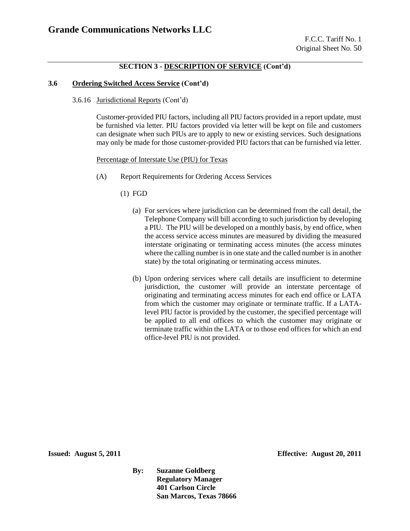#### **3.6 Ordering Switched Access Service (Cont'd)**

3.6.16 Jurisdictional Reports (Cont'd)

Customer-provided PIU factors, including all PIU factors provided in a report update, must be furnished via letter. PIU factors provided via letter will be kept on file and customers can designate when such PIUs are to apply to new or existing services. Such designations may only be made for those customer-provided PIU factors that can be furnished via letter.

#### Percentage of Interstate Use (PIU) for Texas

- (A) Report Requirements for Ordering Access Services
	- (1) FGD
		- (a) For services where jurisdiction can be determined from the call detail, the Telephone Company will bill according to such jurisdiction by developing a PIU. The PIU will be developed on a monthly basis, by end office, when the access service access minutes are measured by dividing the measured interstate originating or terminating access minutes (the access minutes where the calling number is in one state and the called number is in another state) by the total originating or terminating access minutes.
		- (b) Upon ordering services where call details are insufficient to determine jurisdiction, the customer will provide an interstate percentage of originating and terminating access minutes for each end office or LATA from which the customer may originate or terminate traffic. If a LATAlevel PIU factor is provided by the customer, the specified percentage will be applied to all end offices to which the customer may originate or terminate traffic within the LATA or to those end offices for which an end office-level PIU is not provided.

**Issued: August 5, 2011 Effective: August 20, 2011**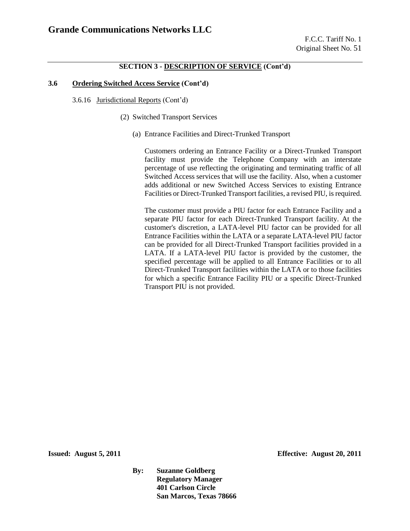#### **3.6 Ordering Switched Access Service (Cont'd)**

3.6.16 Jurisdictional Reports (Cont'd)

- (2) Switched Transport Services
	- (a) Entrance Facilities and Direct-Trunked Transport

Customers ordering an Entrance Facility or a Direct-Trunked Transport facility must provide the Telephone Company with an interstate percentage of use reflecting the originating and terminating traffic of all Switched Access services that will use the facility. Also, when a customer adds additional or new Switched Access Services to existing Entrance Facilities or Direct-Trunked Transport facilities, a revised PIU, is required.

The customer must provide a PIU factor for each Entrance Facility and a separate PIU factor for each Direct-Trunked Transport facility. At the customer's discretion, a LATA-level PIU factor can be provided for all Entrance Facilities within the LATA or a separate LATA-level PIU factor can be provided for all Direct-Trunked Transport facilities provided in a LATA. If a LATA-level PIU factor is provided by the customer, the specified percentage will be applied to all Entrance Facilities or to all Direct-Trunked Transport facilities within the LATA or to those facilities for which a specific Entrance Facility PIU or a specific Direct-Trunked Transport PIU is not provided.

**Issued: August 5, 2011 Effective: August 20, 2011**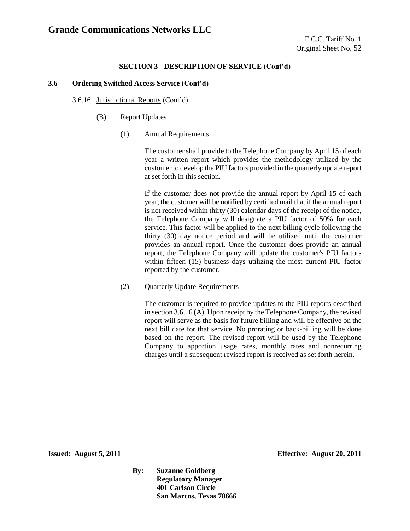#### **3.6 Ordering Switched Access Service (Cont'd)**

- 3.6.16 Jurisdictional Reports (Cont'd)
	- (B) Report Updates
		- (1) Annual Requirements

The customer shall provide to the Telephone Company by April 15 of each year a written report which provides the methodology utilized by the customer to develop the PIU factors provided in the quarterly update report at set forth in this section.

If the customer does not provide the annual report by April 15 of each year, the customer will be notified by certified mail that if the annual report is not received within thirty (30) calendar days of the receipt of the notice, the Telephone Company will designate a PIU factor of 50% for each service. This factor will be applied to the next billing cycle following the thirty (30) day notice period and will be utilized until the customer provides an annual report. Once the customer does provide an annual report, the Telephone Company will update the customer's PIU factors within fifteen (15) business days utilizing the most current PIU factor reported by the customer.

(2) Quarterly Update Requirements

The customer is required to provide updates to the PIU reports described in section 3.6.16 (A). Upon receipt by the Telephone Company, the revised report will serve as the basis for future billing and will be effective on the next bill date for that service. No prorating or back-billing will be done based on the report. The revised report will be used by the Telephone Company to apportion usage rates, monthly rates and nonrecurring charges until a subsequent revised report is received as set forth herein.

**Issued: August 5, 2011 Effective: August 20, 2011**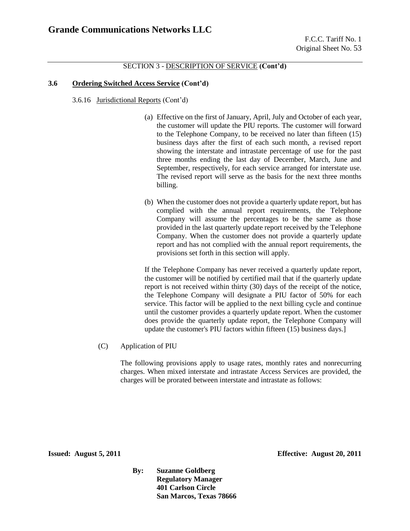#### **3.6 Ordering Switched Access Service (Cont'd)**

3.6.16 Jurisdictional Reports (Cont'd)

- (a) Effective on the first of January, April, July and October of each year, the customer will update the PIU reports. The customer will forward to the Telephone Company, to be received no later than fifteen (15) business days after the first of each such month, a revised report showing the interstate and intrastate percentage of use for the past three months ending the last day of December, March, June and September, respectively, for each service arranged for interstate use. The revised report will serve as the basis for the next three months billing.
- (b) When the customer does not provide a quarterly update report, but has complied with the annual report requirements, the Telephone Company will assume the percentages to be the same as those provided in the last quarterly update report received by the Telephone Company. When the customer does not provide a quarterly update report and has not complied with the annual report requirements, the provisions set forth in this section will apply.

If the Telephone Company has never received a quarterly update report, the customer will be notified by certified mail that if the quarterly update report is not received within thirty (30) days of the receipt of the notice, the Telephone Company will designate a PIU factor of 50% for each service. This factor will be applied to the next billing cycle and continue until the customer provides a quarterly update report. When the customer does provide the quarterly update report, the Telephone Company will update the customer's PIU factors within fifteen (15) business days.]

(C) Application of PIU

The following provisions apply to usage rates, monthly rates and nonrecurring charges. When mixed interstate and intrastate Access Services are provided, the charges will be prorated between interstate and intrastate as follows:

**Issued: August 5, 2011 Effective: August 20, 2011**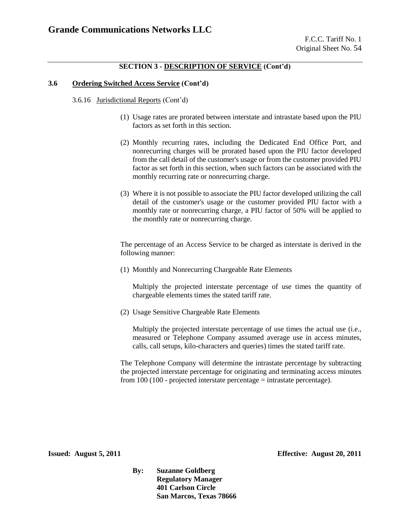#### **3.6 Ordering Switched Access Service (Cont'd)**

3.6.16 Jurisdictional Reports (Cont'd)

- (1) Usage rates are prorated between interstate and intrastate based upon the PIU factors as set forth in this section.
- (2) Monthly recurring rates, including the Dedicated End Office Port, and nonrecurring charges will be prorated based upon the PIU factor developed from the call detail of the customer's usage or from the customer provided PIU factor as set forth in this section, when such factors can be associated with the monthly recurring rate or nonrecurring charge.
- (3) Where it is not possible to associate the PIU factor developed utilizing the call detail of the customer's usage or the customer provided PIU factor with a monthly rate or nonrecurring charge, a PIU factor of 50% will be applied to the monthly rate or nonrecurring charge.

The percentage of an Access Service to be charged as interstate is derived in the following manner:

(1) Monthly and Nonrecurring Chargeable Rate Elements

Multiply the projected interstate percentage of use times the quantity of chargeable elements times the stated tariff rate.

(2) Usage Sensitive Chargeable Rate Elements

Multiply the projected interstate percentage of use times the actual use (i.e., measured or Telephone Company assumed average use in access minutes, calls, call setups, kilo-characters and queries) times the stated tariff rate.

The Telephone Company will determine the intrastate percentage by subtracting the projected interstate percentage for originating and terminating access minutes from  $100 (100 -$  projected interstate percentage = intrastate percentage).

**Issued: August 5, 2011 Effective: August 20, 2011**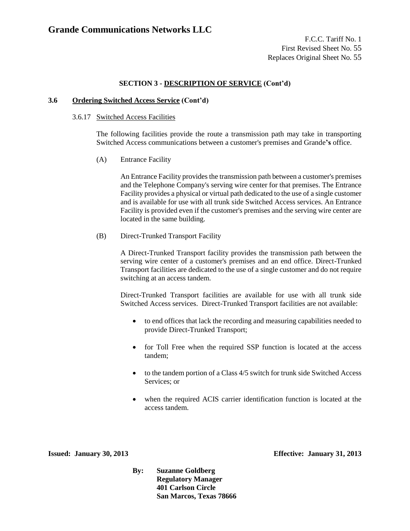#### **3.6 Ordering Switched Access Service (Cont'd)**

#### 3.6.17 Switched Access Facilities

The following facilities provide the route a transmission path may take in transporting Switched Access communications between a customer's premises and Grande**'s** office.

(A) Entrance Facility

An Entrance Facility provides the transmission path between a customer's premises and the Telephone Company's serving wire center for that premises. The Entrance Facility provides a physical or virtual path dedicated to the use of a single customer and is available for use with all trunk side Switched Access services. An Entrance Facility is provided even if the customer's premises and the serving wire center are located in the same building.

(B) Direct-Trunked Transport Facility

A Direct-Trunked Transport facility provides the transmission path between the serving wire center of a customer's premises and an end office. Direct-Trunked Transport facilities are dedicated to the use of a single customer and do not require switching at an access tandem.

Direct-Trunked Transport facilities are available for use with all trunk side Switched Access services. Direct-Trunked Transport facilities are not available:

- to end offices that lack the recording and measuring capabilities needed to provide Direct-Trunked Transport;
- for Toll Free when the required SSP function is located at the access tandem;
- to the tandem portion of a Class 4/5 switch for trunk side Switched Access Services; or
- when the required ACIS carrier identification function is located at the access tandem.

**Issued: January 30, 2013 Effective: January 31, 2013**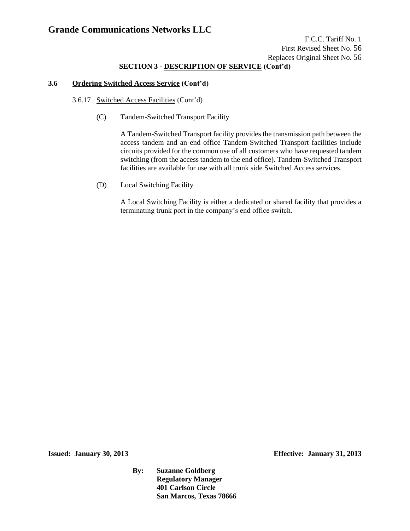### **SECTION 3 - DESCRIPTION OF SERVICE (Cont'd)**

### **3.6 Ordering Switched Access Service (Cont'd)**

- 3.6.17 Switched Access Facilities (Cont'd)
	- (C) Tandem-Switched Transport Facility

A Tandem-Switched Transport facility provides the transmission path between the access tandem and an end office Tandem-Switched Transport facilities include circuits provided for the common use of all customers who have requested tandem switching (from the access tandem to the end office). Tandem-Switched Transport facilities are available for use with all trunk side Switched Access services.

(D) Local Switching Facility

A Local Switching Facility is either a dedicated or shared facility that provides a terminating trunk port in the company's end office switch.

**Issued: January 30, 2013 Effective: January 31, 2013**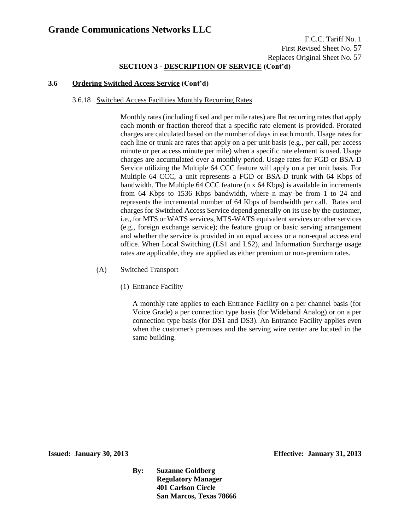F.C.C. Tariff No. 1 First Revised Sheet No. 57 Replaces Original Sheet No. 57

### **SECTION 3 - DESCRIPTION OF SERVICE (Cont'd)**

#### **3.6 Ordering Switched Access Service (Cont'd)**

#### 3.6.18 Switched Access Facilities Monthly Recurring Rates

Monthly rates (including fixed and per mile rates) are flat recurring rates that apply each month or fraction thereof that a specific rate element is provided. Prorated charges are calculated based on the number of days in each month. Usage rates for each line or trunk are rates that apply on a per unit basis (e.g., per call, per access minute or per access minute per mile) when a specific rate element is used. Usage charges are accumulated over a monthly period. Usage rates for FGD or BSA-D Service utilizing the Multiple 64 CCC feature will apply on a per unit basis. For Multiple 64 CCC, a unit represents a FGD or BSA-D trunk with 64 Kbps of bandwidth. The Multiple 64 CCC feature (n x 64 Kbps) is available in increments from 64 Kbps to 1536 Kbps bandwidth, where n may be from 1 to 24 and represents the incremental number of 64 Kbps of bandwidth per call. Rates and charges for Switched Access Service depend generally on its use by the customer, i.e., for MTS or WATS services, MTS-WATS equivalent services or other services (e.g., foreign exchange service); the feature group or basic serving arrangement and whether the service is provided in an equal access or a non-equal access end office. When Local Switching (LS1 and LS2), and Information Surcharge usage rates are applicable, they are applied as either premium or non-premium rates.

- (A) Switched Transport
	- (1) Entrance Facility

A monthly rate applies to each Entrance Facility on a per channel basis (for Voice Grade) a per connection type basis (for Wideband Analog) or on a per connection type basis (for DS1 and DS3). An Entrance Facility applies even when the customer's premises and the serving wire center are located in the same building.

**Issued: January 30, 2013 Effective: January 31, 2013**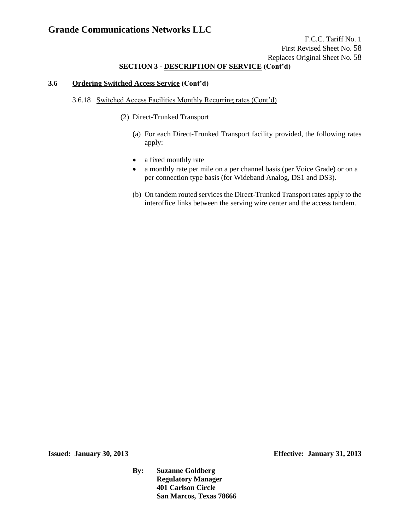### **SECTION 3 - DESCRIPTION OF SERVICE (Cont'd)**

#### **3.6 Ordering Switched Access Service (Cont'd)**

#### 3.6.18 Switched Access Facilities Monthly Recurring rates (Cont'd)

- (2) Direct-Trunked Transport
	- (a) For each Direct-Trunked Transport facility provided, the following rates apply:
	- a fixed monthly rate
	- a monthly rate per mile on a per channel basis (per Voice Grade) or on a per connection type basis (for Wideband Analog, DS1 and DS3).
	- (b) On tandem routed services the Direct-Trunked Transport rates apply to the interoffice links between the serving wire center and the access tandem.

**Issued: January 30, 2013 Effective: January 31, 2013**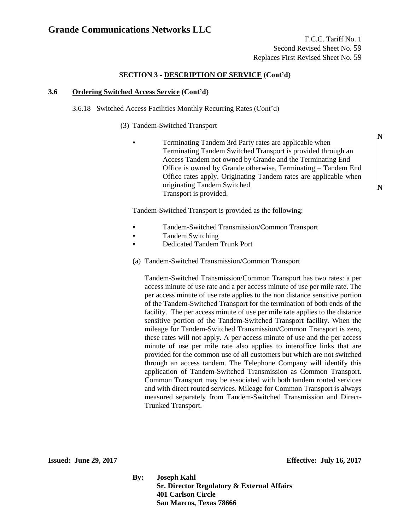**N**

**N**

#### **SECTION 3 - DESCRIPTION OF SERVICE (Cont'd)**

#### **3.6 Ordering Switched Access Service (Cont'd)**

#### 3.6.18 Switched Access Facilities Monthly Recurring Rates (Cont'd)

(3) Tandem-Switched Transport

Terminating Tandem 3rd Party rates are applicable when Terminating Tandem Switched Transport is provided through an Access Tandem not owned by Grande and the Terminating End Office is owned by Grande otherwise, Terminating – Tandem End Office rates apply. Originating Tandem rates are applicable when originating Tandem Switched Transport is provided.

Tandem-Switched Transport is provided as the following:

- Tandem-Switched Transmission/Common Transport
- Tandem Switching
- Dedicated Tandem Trunk Port
- (a) Tandem-Switched Transmission/Common Transport

Tandem-Switched Transmission/Common Transport has two rates: a per access minute of use rate and a per access minute of use per mile rate. The per access minute of use rate applies to the non distance sensitive portion of the Tandem-Switched Transport for the termination of both ends of the facility. The per access minute of use per mile rate applies to the distance sensitive portion of the Tandem-Switched Transport facility. When the mileage for Tandem-Switched Transmission/Common Transport is zero, these rates will not apply. A per access minute of use and the per access minute of use per mile rate also applies to interoffice links that are provided for the common use of all customers but which are not switched through an access tandem. The Telephone Company will identify this application of Tandem-Switched Transmission as Common Transport. Common Transport may be associated with both tandem routed services and with direct routed services. Mileage for Common Transport is always measured separately from Tandem-Switched Transmission and Direct-Trunked Transport.

**Issued: June 29, 2017 Effective: July 16, 2017** 

**By: Joseph Kahl Sr. Director Regulatory & External Affairs 401 Carlson Circle San Marcos, Texas 78666**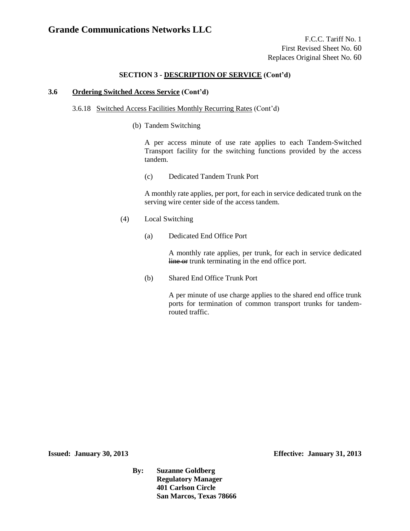### **SECTION 3 - DESCRIPTION OF SERVICE (Cont'd)**

#### **3.6 Ordering Switched Access Service (Cont'd)**

#### 3.6.18 Switched Access Facilities Monthly Recurring Rates (Cont'd)

(b) Tandem Switching

A per access minute of use rate applies to each Tandem-Switched Transport facility for the switching functions provided by the access tandem.

(c) Dedicated Tandem Trunk Port

A monthly rate applies, per port, for each in service dedicated trunk on the serving wire center side of the access tandem.

- (4) Local Switching
	- (a) Dedicated End Office Port

A monthly rate applies, per trunk, for each in service dedicated line or trunk terminating in the end office port.

(b) Shared End Office Trunk Port

A per minute of use charge applies to the shared end office trunk ports for termination of common transport trunks for tandemrouted traffic.

**Issued: January 30, 2013 Effective: January 31, 2013**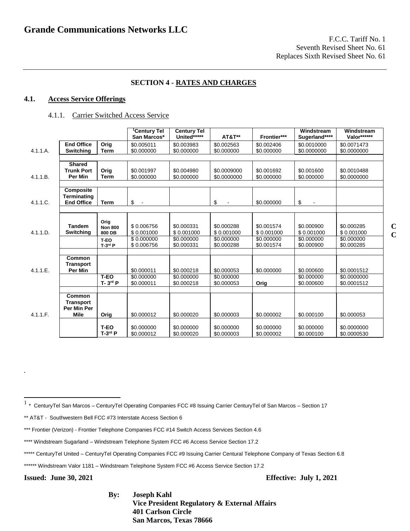### **SECTION 4 - RATES AND CHARGES**

### **4.1. Access Service Offerings**

#### 4.1.1. Carrier Switched Access Service

|          |                                                                 |                                  | <sup>1</sup> Century Tel<br>San Marcos* | <b>Century Tel</b><br>United***** | <b>AT&amp;T**</b>          | Frontier***              | Windstream<br>Sugerland**** | Windstream<br>Valor******  |
|----------|-----------------------------------------------------------------|----------------------------------|-----------------------------------------|-----------------------------------|----------------------------|--------------------------|-----------------------------|----------------------------|
| 4.1.1.A. | <b>End Office</b><br><b>Switching</b>                           | Orig<br>Term                     | \$0.005011<br>\$0.000000                | \$0.003983<br>\$0.000000          | \$0.002563<br>\$0.000000   | \$0.002406<br>\$0.000000 | \$0.0010000<br>\$0.0000000  | \$0.0071473<br>\$0.0000000 |
|          |                                                                 |                                  |                                         |                                   |                            |                          |                             |                            |
| 4.1.1.B. | <b>Shared</b><br><b>Trunk Port</b><br>Per Min                   | Orig<br>Term                     | \$0.001997<br>\$0.000000                | \$0.004980<br>\$0.000000          | \$0.0009000<br>\$0.0000000 | \$0.001692<br>\$0.000000 | \$0.001600<br>\$0.000000    | \$0.0010488<br>\$0.0000000 |
|          |                                                                 |                                  |                                         |                                   |                            |                          |                             |                            |
| 4.1.1.C. | Composite<br><b>Terminating</b><br><b>End Office</b>            | Term                             | \$<br>$\sim$                            |                                   | \$                         | \$0.000000               | \$<br>$\blacksquare$        |                            |
|          |                                                                 |                                  |                                         |                                   |                            |                          |                             |                            |
| 4.1.1.D. | <b>Tandem</b><br>Switching                                      | Orig<br><b>Non 800</b><br>800 DB | \$0.006756<br>\$0.001000                | \$0.000331<br>\$0.001000          | \$0.000288<br>\$0.001000   | \$0.001574<br>\$0.001000 | \$0.000900<br>\$0.001000    | \$0.000285<br>\$0.001000   |
|          |                                                                 | T-EO<br>$T-3$ rd $P$             | \$0.000000<br>\$0.006756                | \$0.000000<br>\$0.000331          | \$0.000000<br>\$0.000288   | \$0.000000<br>\$0.001574 | \$0.000000<br>\$0.000900    | \$0.000000<br>\$0.000285   |
|          |                                                                 |                                  |                                         |                                   |                            |                          |                             |                            |
| 4.1.1.E. | <b>Common</b><br><b>Transport</b><br>Per Min                    |                                  | \$0.000011                              | \$0.000218                        | \$0.000053                 | \$0.000000               | \$0.000600                  | \$0.0001512                |
|          |                                                                 | $T-EO$<br>$T - 3rd P$            | \$0.000000<br>\$0.000011                | \$0.000000<br>\$0.000218          | \$0.000000<br>\$0.000053   | Orig                     | \$0.000000<br>\$0.000600    | \$0.0000000<br>\$0.0001512 |
| 4.1.1.F. | <b>Common</b><br><b>Transport</b><br>Per Min Per<br><b>Mile</b> | Orig                             | \$0.000012                              | \$0.000020                        | \$0.000003                 | \$0.000002               | \$0.000100                  | \$0.000053                 |
|          |                                                                 | T-EO<br>$T-3^{rd}P$              | \$0.000000<br>\$0.000012                | \$0.000000<br>\$0.000020          | \$0.000000<br>\$0.000003   | \$0.000000<br>\$0.000002 | \$0.000000<br>\$0.000100    | \$0.0000000<br>\$0.0000530 |

**Issued: June 30, 2021 Effective: July 1, 2021**

**.**

**By: Joseph Kahl Vice President Regulatory & External Affairs 401 Carlson Circle San Marcos, Texas 78666**

 1 \* CenturyTel San Marcos – CenturyTel Operating Companies FCC #8 Issuing Carrier CenturyTel of San Marcos – Section 17

<sup>\*\*</sup> AT&T - Southwestern Bell FCC #73 Interstate Access Section 6

<sup>\*\*\*</sup> Frontier (Verizon) - Frontier Telephone Companies FCC #14 Switch Access Services Section 4.6

<sup>\*\*\*\*</sup> Windstream Sugarland – Windstream Telephone System FCC #6 Access Service Section 17.2

<sup>\*\*\*\*\*</sup> CenturyTel United – CenturyTel Operating Companies FCC #9 Issuing Carrier Centural Telephone Company of Texas Section 6.8

<sup>\*\*\*\*\*\*</sup> Windstream Valor 1181 – Windstream Telephone System FCC #6 Access Service Section 17.2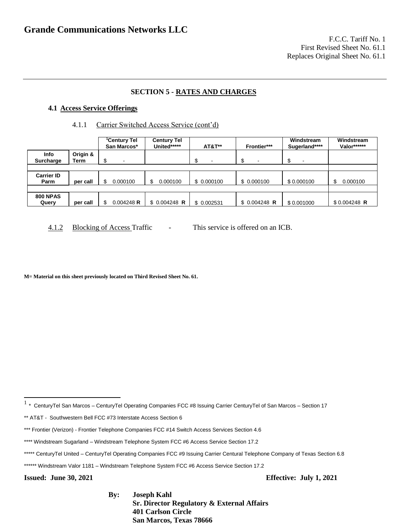### **SECTION 5 - RATES AND CHARGES**

#### **4.1 Access Service Offerings**

#### 4.1.1 Carrier Switched Access Service (cont'd)

|                           |                  | <sup>1</sup> Century Tel<br>San Marcos* | <b>Century Tel</b><br>United***** | <b>AT&amp;T**</b>        | Frontier***                   | Windstream<br>Sugerland****   | Windstream<br>Valor****** |
|---------------------------|------------------|-----------------------------------------|-----------------------------------|--------------------------|-------------------------------|-------------------------------|---------------------------|
| Info<br>Surcharge         | Origin &<br>Term | ₼<br>$\overline{\phantom{0}}$<br>ъ      |                                   | $\overline{\phantom{0}}$ | œ<br>$\overline{\phantom{a}}$ | σ<br>$\overline{\phantom{0}}$ |                           |
|                           |                  |                                         |                                   |                          |                               |                               |                           |
| <b>Carrier ID</b><br>Parm | per call         | 0.000100                                | 0.000100                          | \$ 0.000100              | \$ 0.000100                   | \$0.000100                    | 0.000100<br>S             |
|                           |                  |                                         |                                   |                          |                               |                               |                           |
| <b>800 NPAS</b><br>Query  | per call         | 0.004248 R                              | $$0.004248$ R                     | \$0.002531               | $$0.004248$ R                 | \$0.001000                    | $$0.004248$ R             |

4.1.2 Blocking of Access Traffic - This service is offered on an ICB.

**M= Material on this sheet previously located on Third Revised Sheet No. 61.**

\*\*\*\*\* CenturyTel United – CenturyTel Operating Companies FCC #9 Issuing Carrier Centural Telephone Company of Texas Section 6.8

**By: Joseph Kahl Sr. Director Regulatory & External Affairs 401 Carlson Circle San Marcos, Texas 78666**

**Issued: June 30, 2021 Effective: July 1, 2021**

 1 \* CenturyTel San Marcos – CenturyTel Operating Companies FCC #8 Issuing Carrier CenturyTel of San Marcos – Section 17

<sup>\*\*</sup> AT&T - Southwestern Bell FCC #73 Interstate Access Section 6

<sup>\*\*\*</sup> Frontier (Verizon) - Frontier Telephone Companies FCC #14 Switch Access Services Section 4.6

<sup>\*\*\*\*</sup> Windstream Sugarland – Windstream Telephone System FCC #6 Access Service Section 17.2

<sup>\*\*\*\*\*\*</sup> Windstream Valor 1181 – Windstream Telephone System FCC #6 Access Service Section 17.2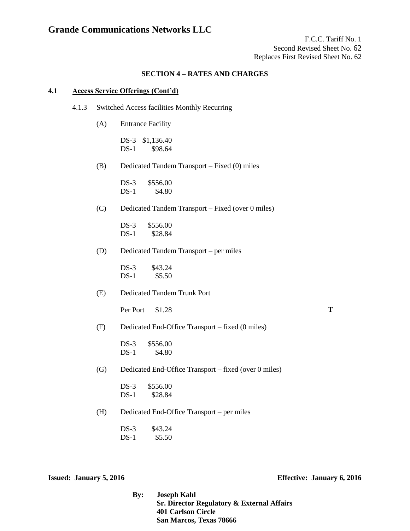F.C.C. Tariff No. 1 Second Revised Sheet No. 62 Replaces First Revised Sheet No. 62

### **SECTION 4 – RATES AND CHARGES**

#### **4.1 Access Service Offerings (Cont'd)**

- 4.1.3 Switched Access facilities Monthly Recurring
	- (A) Entrance Facility

DS-3 \$1,136.40 DS-1 \$98.64

(B) Dedicated Tandem Transport – Fixed (0) miles

DS-3 \$556.00 DS-1 \$4.80

(C) Dedicated Tandem Transport – Fixed (over 0 miles)

DS-3 \$556.00 DS-1 \$28.84

(D) Dedicated Tandem Transport – per miles

DS-3 \$43.24 DS-1 \$5.50

(E) Dedicated Tandem Trunk Port

Per Port \$1.28

(F) Dedicated End-Office Transport – fixed (0 miles)

DS-3 \$556.00 DS-1 \$4.80

(G) Dedicated End-Office Transport – fixed (over 0 miles)

(H) Dedicated End-Office Transport – per miles

DS-3 \$43.24 DS-1 \$5.50

**Issued: January 5, 2016 Effective: January 6, 2016**

**By: Joseph Kahl Sr. Director Regulatory & External Affairs 401 Carlson Circle San Marcos, Texas 78666**

DS-3 \$556.00 DS-1 \$28.84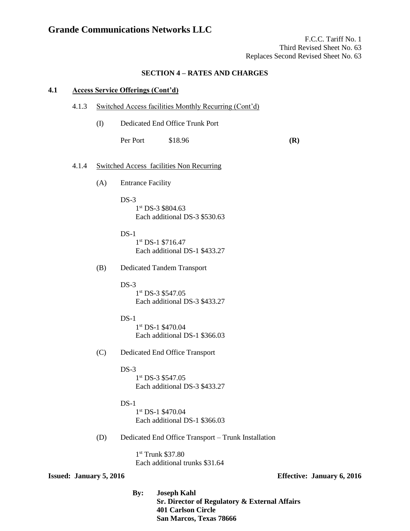F.C.C. Tariff No. 1 Third Revised Sheet No. 63 Replaces Second Revised Sheet No. 63

### **SECTION 4 – RATES AND CHARGES**

### **4.1 Access Service Offerings (Cont'd)**

#### 4.1.3 Switched Access facilities Monthly Recurring (Cont'd)

(I) Dedicated End Office Trunk Port

Per Port \$18.96 **(R)** 

#### 4.1.4 Switched Access facilities Non Recurring

- (A) Entrance Facility
	- $DS-3$ 1st DS-3 \$804.63 Each additional DS-3 \$530.63

 $DS-1$ 1 st DS-1 \$716.47 Each additional DS-1 \$433.27

(B) Dedicated Tandem Transport

 $DS-3$ 

1 st DS-3 \$547.05 Each additional DS-3 \$433.27

#### $DS-1$

1 st DS-1 \$470.04 Each additional DS-1 \$366.03

(C) Dedicated End Office Transport

#### $DS-3$

1 st DS-3 \$547.05 Each additional DS-3 \$433.27

#### $DS-1$

1 st DS-1 \$470.04 Each additional DS-1 \$366.03

(D) Dedicated End Office Transport – Trunk Installation

1st Trunk \$37.80 Each additional trunks \$31.64

#### **Issued: January 5, 2016 Effective: January 6, 2016**

**By: Joseph Kahl Sr. Director of Regulatory & External Affairs 401 Carlson Circle San Marcos, Texas 78666**